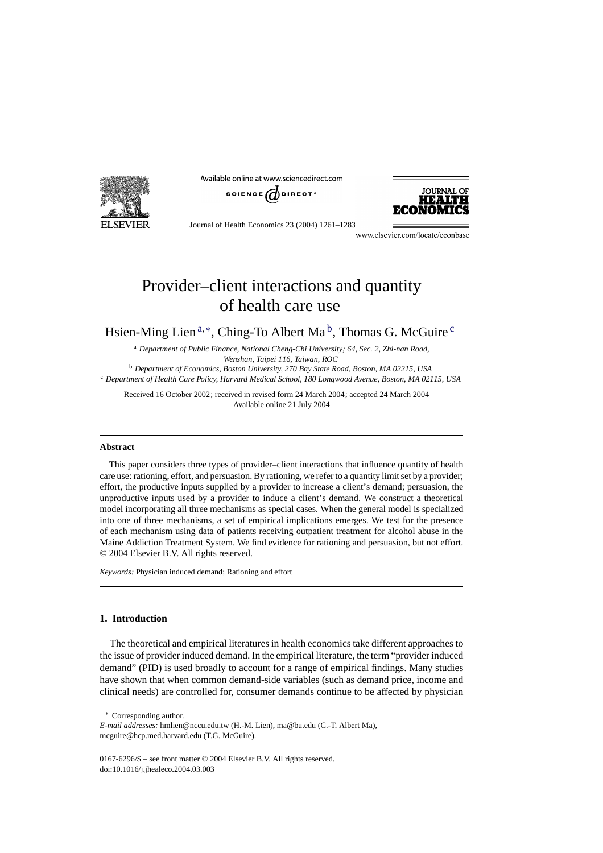# Provider–client interactions and quantity of health care use

Hsien-Ming Lien<sup>a,∗</sup>, Ching-To Albert Ma<sup>b</sup>, Thomas G. McGuire<sup>c</sup>

<sup>a</sup> *Department of Public Finance, National Cheng-Chi University; 64, Sec. 2, Zhi-nan Road, Wenshan, Taipei 116, Taiwan, ROC*

<sup>b</sup> *Department of Economics, Boston University, 270 Bay State Road, Boston, MA 02215, USA* <sup>c</sup> *Department of Health Care Policy, Harvard Medical School, 180 Longwood Avenue, Boston, MA 02115, USA*

Received 16 October 2002; received in revised form 24 March 2004; accepted 24 March 2004 Available online 21 July 2004

#### **Abstract**

This paper considers three types of provider–client interactions that influence quantity of health care use: rationing, effort, and persuasion. By rationing, we refer to a quantity limit set by a provider; effort, the productive inputs supplied by a provider to increase a client's demand; persuasion, the unproductive inputs used by a provider to induce a client's demand. We construct a theoretical model incorporating all three mechanisms as special cases. When the general model is specialized into one of three mechanisms, a set of empirical implications emerges. We test for the presence of each mechanism using data of patients receiving outpatient treatment for alcohol abuse in the Maine Addiction Treatment System. We find evidence for rationing and persuasion, but not effort. © 2004 Elsevier B.V. All rights reserved.

*Keywords:* Physician induced demand; Rationing and effort

## **1. Introduction**

The theoretical and empirical literatures in health economics take different approaches to the issue of provider induced demand. In the empirical literature, the term "provider induced demand" (PID) is used broadly to account for a range of empirical findings. Many studies have shown that when common demand-side variables (such as demand price, income and clinical needs) are controlled for, consumer demands continue to be affected by physician

∗ Corresponding author.

*E-mail addresses:* hmlien@nccu.edu.tw (H.-M. Lien), ma@bu.edu (C.-T. Albert Ma), mcguire@hcp.med.harvard.edu (T.G. McGuire).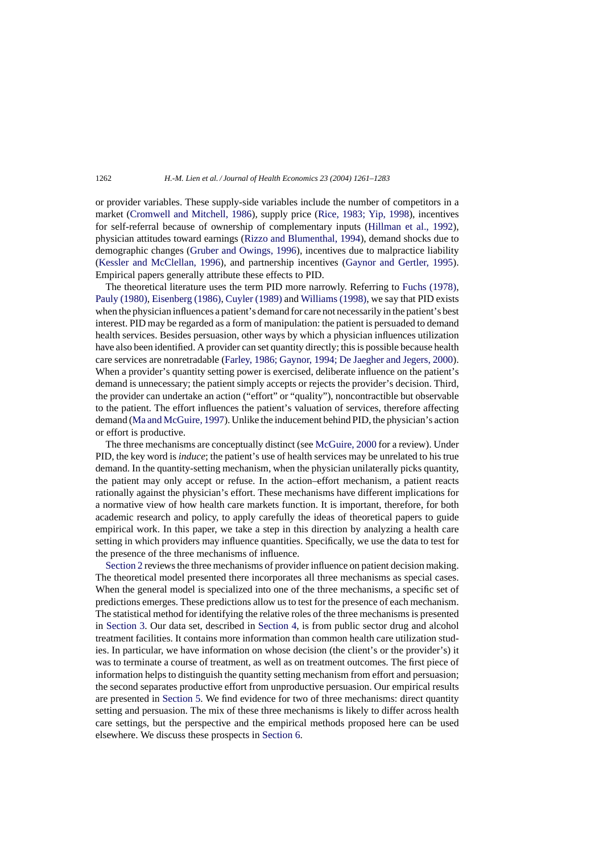or provider variables. These supply-side variables include the number of competitors in a market [\(Cromwell and Mitchell, 1986\)](#page-21-0), supply price ([Rice, 1983; Yip, 1998\)](#page-22-0), incentives for self-referral because of ownership of complementary inputs [\(Hillman et al., 1992\)](#page-22-0), physician attitudes toward earnings [\(Rizzo and Blumenthal, 1994\),](#page-22-0) demand shocks due to demographic changes ([Gruber and Owings, 1996\),](#page-22-0) incentives due to malpractice liability [\(Kessler and McClellan, 1996\)](#page-22-0), and partnership incentives [\(Gaynor and Gertler, 1995\)](#page-22-0). Empirical papers generally attribute these effects to PID.

The theoretical literature uses the term PID more narrowly. Referring to [Fuchs \(1978\),](#page-21-0) [Pauly \(1980\),](#page-22-0) [Eisenberg \(1986\),](#page-21-0) [Cuyler \(1989\)](#page-21-0) and [Williams \(1998\), w](#page-22-0)e say that PID exists when the physician influences a patient's demand for care not necessarily in the patient's best interest. PID may be regarded as a form of manipulation: the patient is persuaded to demand health services. Besides persuasion, other ways by which a physician influences utilization have also been identified. A provider can set quantity directly; this is possible because health care services are nonretradable ([Farley, 1986; Gaynor, 1994; De Jaegher and Jegers, 2000\).](#page-21-0) When a provider's quantity setting power is exercised, deliberate influence on the patient's demand is unnecessary; the patient simply accepts or rejects the provider's decision. Third, the provider can undertake an action ("effort" or "quality"), noncontractible but observable to the patient. The effort influences the patient's valuation of services, therefore affecting demand ([Ma and McGuire, 1997\). U](#page-22-0)nlike the inducement behind PID, the physician's action or effort is productive.

The three mechanisms are conceptually distinct (see [McGuire, 2000](#page-22-0) for a review). Under PID, the key word is *induce*; the patient's use of health services may be unrelated to his true demand. In the quantity-setting mechanism, when the physician unilaterally picks quantity, the patient may only accept or refuse. In the action–effort mechanism, a patient reacts rationally against the physician's effort. These mechanisms have different implications for a normative view of how health care markets function. It is important, therefore, for both academic research and policy, to apply carefully the ideas of theoretical papers to guide empirical work. In this paper, we take a step in this direction by analyzing a health care setting in which providers may influence quantities. Specifically, we use the data to test for the presence of the three mechanisms of influence.

[Section 2](#page-2-0) reviews the three mechanisms of provider influence on patient decision making. The theoretical model presented there incorporates all three mechanisms as special cases. When the general model is specialized into one of the three mechanisms, a specific set of predictions emerges. These predictions allow us to test for the presence of each mechanism. The statistical method for identifying the relative roles of the three mechanisms is presented in [Section 3.](#page-5-0) Our data set, described in [Section 4,](#page-9-0) is from public sector drug and alcohol treatment facilities. It contains more information than common health care utilization studies. In particular, we have information on whose decision (the client's or the provider's) it was to terminate a course of treatment, as well as on treatment outcomes. The first piece of information helps to distinguish the quantity setting mechanism from effort and persuasion; the second separates productive effort from unproductive persuasion. Our empirical results are presented in [Section 5.](#page-13-0) We find evidence for two of three mechanisms: direct quantity setting and persuasion. The mix of these three mechanisms is likely to differ across health care settings, but the perspective and the empirical methods proposed here can be used elsewhere. We discuss these prospects in [Section 6.](#page-20-0)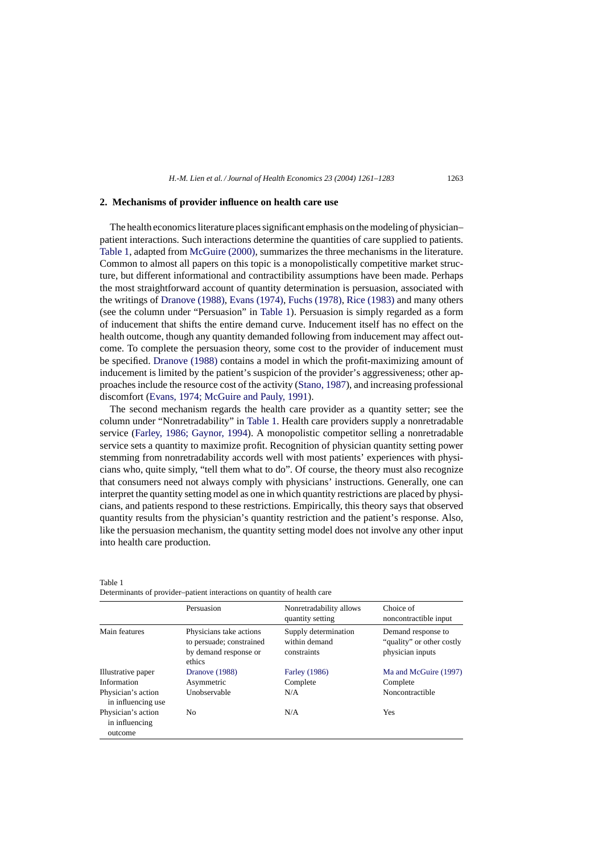# <span id="page-2-0"></span>**2. Mechanisms of provider influence on health care use**

The health economics literature places significant emphasis on the modeling of physician– patient interactions. Such interactions determine the quantities of care supplied to patients. Table 1, adapted from [McGuire \(2000\), s](#page-22-0)ummarizes the three mechanisms in the literature. Common to almost all papers on this topic is a monopolistically competitive market structure, but different informational and contractibility assumptions have been made. Perhaps the most straightforward account of quantity determination is persuasion, associated with the writings of [Dranove \(1988\),](#page-21-0) [Evans \(1974\),](#page-21-0) [Fuchs \(1978\),](#page-21-0) [Rice \(1983\)](#page-22-0) and many others (see the column under "Persuasion" in Table 1). Persuasion is simply regarded as a form of inducement that shifts the entire demand curve. Inducement itself has no effect on the health outcome, though any quantity demanded following from inducement may affect outcome. To complete the persuasion theory, some cost to the provider of inducement must be specified. [Dranove \(1988\)](#page-21-0) contains a model in which the profit-maximizing amount of inducement is limited by the patient's suspicion of the provider's aggressiveness; other approaches include the resource cost of the activity [\(Stano, 1987\),](#page-22-0) and increasing professional discomfort [\(Evans, 1974; McGuire and Pauly, 1991\).](#page-21-0)

The second mechanism regards the health care provider as a quantity setter; see the column under "Nonretradability" in Table 1. Health care providers supply a nonretradable service [\(Farley, 1986; Gaynor, 1994\)](#page-21-0). A monopolistic competitor selling a nonretradable service sets a quantity to maximize profit. Recognition of physician quantity setting power stemming from nonretradability accords well with most patients' experiences with physicians who, quite simply, "tell them what to do". Of course, the theory must also recognize that consumers need not always comply with physicians' instructions. Generally, one can interpret the quantity setting model as one in which quantity restrictions are placed by physicians, and patients respond to these restrictions. Empirically, this theory says that observed quantity results from the physician's quantity restriction and the patient's response. Also, like the persuasion mechanism, the quantity setting model does not involve any other input into health care production.

|                                                 | Determinants of provider patient interactions on quantity of nearly care               |                                                      |                                                                     |  |
|-------------------------------------------------|----------------------------------------------------------------------------------------|------------------------------------------------------|---------------------------------------------------------------------|--|
|                                                 | Persuasion                                                                             | Nonretradability allows<br>quantity setting          | Choice of<br>noncontractible input                                  |  |
| Main features                                   | Physicians take actions<br>to persuade; constrained<br>by demand response or<br>ethics | Supply determination<br>within demand<br>constraints | Demand response to<br>"quality" or other costly<br>physician inputs |  |
| Illustrative paper                              | Dranove (1988)                                                                         | <b>Farley</b> (1986)                                 | Ma and McGuire (1997)                                               |  |
| Information                                     | Asymmetric                                                                             | Complete                                             | Complete                                                            |  |
| Physician's action<br>in influencing use        | Unobservable                                                                           | N/A                                                  | Noncontractible                                                     |  |
| Physician's action<br>in influencing<br>outcome | No                                                                                     | N/A                                                  | Yes                                                                 |  |

| Table 1                                                                  |  |
|--------------------------------------------------------------------------|--|
| Determinants of provider-patient interactions on quantity of health care |  |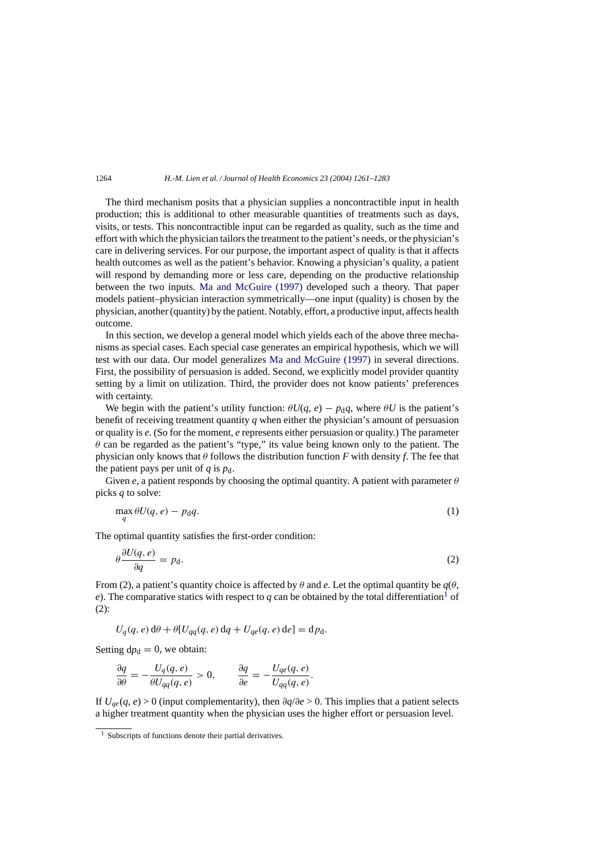The third mechanism posits that a physician supplies a noncontractible input in health production; this is additional to other measurable quantities of treatments such as days, visits, or tests. This noncontractible input can be regarded as quality, such as the time and effort with which the physician tailors the treatment to the patient's needs, or the physician's care in delivering services. For our purpose, the important aspect of quality is that it affects health outcomes as well as the patient's behavior. Knowing a physician's quality, a patient will respond by demanding more or less care, depending on the productive relationship between the two inputs. [Ma and McGuire \(1997\)](#page-22-0) developed such a theory. That paper models patient–physician interaction symmetrically—one input (quality) is chosen by the physician, another (quantity) by the patient. Notably, effort, a productive input, affects health outcome.

In this section, we develop a general model which yields each of the above three mechanisms as special cases. Each special case generates an empirical hypothesis, which we will test with our data. Our model generalizes [Ma and McGuire \(1997\)](#page-22-0) in several directions. First, the possibility of persuasion is added. Second, we explicitly model provider quantity setting by a limit on utilization. Third, the provider does not know patients' preferences with certainty.

We begin with the patient's utility function:  $\theta U(q, e) - p_d q$ , where  $\theta U$  is the patient's benefit of receiving treatment quantity *q* when either the physician's amount of persuasion or quality is *e*. (So for the moment, *e* represents either persuasion or quality.) The parameter  $\theta$  can be regarded as the patient's "type," its value being known only to the patient. The physician only knows that  $\theta$  follows the distribution function *F* with density *f*. The fee that the patient pays per unit of  $q$  is  $p_d$ .

Given *e*, a patient responds by choosing the optimal quantity. A patient with parameter  $\theta$ picks *q* to solve:

$$
\max_{q} \theta U(q, e) - p_{\rm d}q. \tag{1}
$$

The optimal quantity satisfies the first-order condition:

$$
\theta \frac{\partial U(q, e)}{\partial q} = p_{\rm d}.\tag{2}
$$

From (2), a patient's quantity choice is affected by  $\theta$  and  $e$ . Let the optimal quantity be  $q(\theta)$ , *e*). The comparative statics with respect to *q* can be obtained by the total differentiation<sup>1</sup> of (2):

$$
U_q(q,e) d\theta + \theta [U_{qq}(q,e) dq + U_{qe}(q,e) de] = dp_d.
$$

Setting  $dp_d = 0$ , we obtain:

$$
\frac{\partial q}{\partial \theta} = -\frac{U_q(q, e)}{\theta U_{qq}(q, e)} > 0, \qquad \frac{\partial q}{\partial e} = -\frac{U_{qe}(q, e)}{U_{qq}(q, e)}.
$$

If  $U_{ae}(q, e) > 0$  (input complementarity), then  $\partial q/\partial e > 0$ . This implies that a patient selects a higher treatment quantity when the physician uses the higher effort or persuasion level.

<sup>&</sup>lt;sup>1</sup> Subscripts of functions denote their partial derivatives.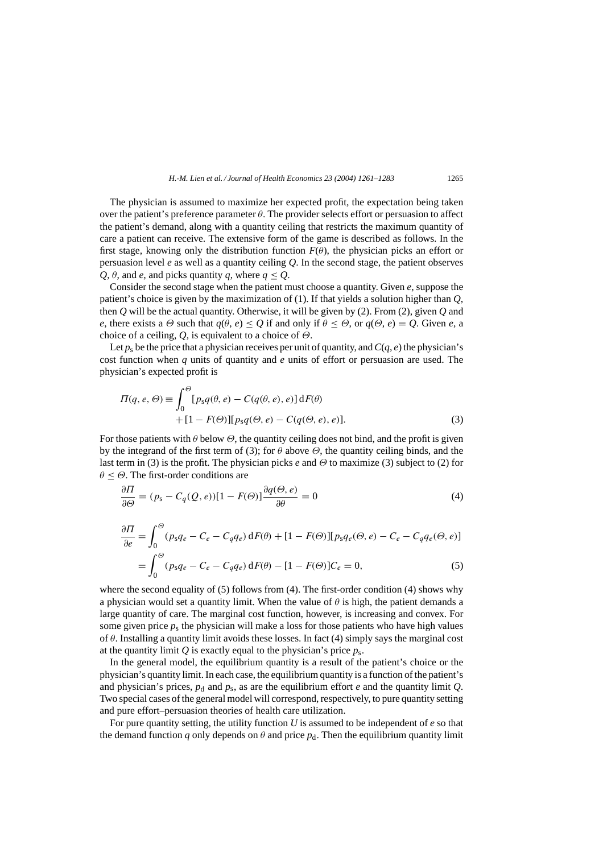The physician is assumed to maximize her expected profit, the expectation being taken over the patient's preference parameter  $\theta$ . The provider selects effort or persuasion to affect the patient's demand, along with a quantity ceiling that restricts the maximum quantity of care a patient can receive. The extensive form of the game is described as follows. In the first stage, knowing only the distribution function  $F(\theta)$ , the physician picks an effort or persuasion level *e* as well as a quantity ceiling *Q*. In the second stage, the patient observes  $Q, \theta$ , and *e*, and picks quantity *q*, where  $q \leq Q$ .

Consider the second stage when the patient must choose a quantity. Given *e*, suppose the patient's choice is given by the maximization of (1). If that yields a solution higher than *Q*, then *Q* will be the actual quantity. Otherwise, it will be given by (2). From (2), given *Q* and *e*, there exists a  $\Theta$  such that  $q(\theta, e) < O$  if and only if  $\theta < \Theta$ , or  $q(\Theta, e) = O$ . Given *e*, a choice of a ceiling,  $Q$ , is equivalent to a choice of  $\Theta$ .

Let  $p_s$  be the price that a physician receives per unit of quantity, and  $C(q, e)$  the physician's cost function when *q* units of quantity and *e* units of effort or persuasion are used. The physician's expected profit is

$$
\Pi(q, e, \Theta) \equiv \int_0^{\Theta} [p_s q(\theta, e) - C(q(\theta, e), e)] \, dF(\theta) \n+ [1 - F(\Theta)][p_s q(\Theta, e) - C(q(\Theta, e), e)].
$$
\n(3)

For those patients with  $\theta$  below  $\Theta$ , the quantity ceiling does not bind, and the profit is given by the integrand of the first term of (3); for  $\theta$  above  $\Theta$ , the quantity ceiling binds, and the last term in (3) is the profit. The physician picks *e* and Θ to maximize (3) subject to (2) for  $\theta \leq \Theta$ . The first-order conditions are

$$
\frac{\partial \Pi}{\partial \Theta} = (p_s - C_q(Q, e))[1 - F(\Theta)] \frac{\partial q(\Theta, e)}{\partial \theta} = 0 \tag{4}
$$

$$
\frac{\partial \Pi}{\partial e} = \int_0^{\Theta} (p_s q_e - C_e - C_q q_e) \, dF(\theta) + [1 - F(\Theta)] [p_s q_e(\Theta, e) - C_e - C_q q_e(\Theta, e)]
$$

$$
= \int_0^{\Theta} (p_s q_e - C_e - C_q q_e) \, dF(\theta) - [1 - F(\Theta)] C_e = 0,
$$
(5)

where the second equality of (5) follows from (4). The first-order condition (4) shows why a physician would set a quantity limit. When the value of  $\theta$  is high, the patient demands a large quantity of care. The marginal cost function, however, is increasing and convex. For some given price  $p_s$  the physician will make a loss for those patients who have high values of  $\theta$ . Installing a quantity limit avoids these losses. In fact (4) simply says the marginal cost at the quantity limit  $Q$  is exactly equal to the physician's price  $p_s$ .

In the general model, the equilibrium quantity is a result of the patient's choice or the physician's quantity limit. In each case, the equilibrium quantity is a function of the patient's and physician's prices,  $p_d$  and  $p_s$ , as are the equilibrium effort *e* and the quantity limit *Q*. Two special cases of the general model will correspond, respectively, to pure quantity setting and pure effort–persuasion theories of health care utilization.

For pure quantity setting, the utility function *U* is assumed to be independent of *e* so that the demand function *q* only depends on  $\theta$  and price  $p_d$ . Then the equilibrium quantity limit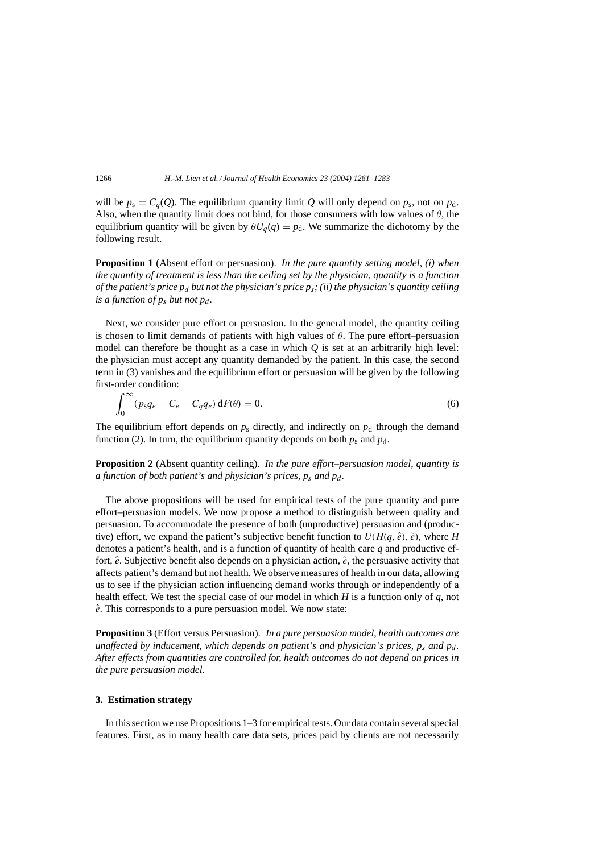<span id="page-5-0"></span>will be  $p_s = C_q(Q)$ . The equilibrium quantity limit *Q* will only depend on  $p_s$ , not on  $p_d$ . Also, when the quantity limit does not bind, for those consumers with low values of  $\theta$ , the equilibrium quantity will be given by  $\theta U_q(q) = p_d$ . We summarize the dichotomy by the following result.

**Proposition 1** (Absent effort or persuasion). *In the pure quantity setting model, (i) when the quantity of treatment is less than the ceiling set by the physician, quantity is a function of the patient's price*  $p_d$  *but not the physician's price*  $p_s$ *; (ii) the physician's quantity ceiling is a function of*  $p_s$  *but not*  $p_d$ *.* 

Next, we consider pure effort or persuasion. In the general model, the quantity ceiling is chosen to limit demands of patients with high values of  $\theta$ . The pure effort–persuasion model can therefore be thought as a case in which *Q* is set at an arbitrarily high level: the physician must accept any quantity demanded by the patient. In this case, the second term in (3) vanishes and the equilibrium effort or persuasion will be given by the following first-order condition:

$$
\int_0^\infty (p_s q_e - C_e - C_q q_e) \, \mathrm{d}F(\theta) = 0. \tag{6}
$$

The equilibrium effort depends on  $p_s$  directly, and indirectly on  $p_d$  through the demand function (2). In turn, the equilibrium quantity depends on both  $p_s$  and  $p_d$ .

**Proposition 2** (Absent quantity ceiling). *In the pure effort–persuasion model, quantity is a function of both patient's and physician's prices, p*<sup>s</sup> *and p*d*.*

The above propositions will be used for empirical tests of the pure quantity and pure effort–persuasion models. We now propose a method to distinguish between quality and persuasion. To accommodate the presence of both (unproductive) persuasion and (productive) effort, we expand the patient's subjective benefit function to  $U(H(q, \hat{e}), \tilde{e})$ , where *H* denotes a patient's health, and is a function of quantity of health care *q* and productive effort,  $\hat{e}$ . Subjective benefit also depends on a physician action,  $\tilde{e}$ , the persuasive activity that affects patient's demand but not health. We observe measures of health in our data, allowing us to see if the physician action influencing demand works through or independently of a health effect. We test the special case of our model in which *H* is a function only of *q*, not  $\hat{e}$ . This corresponds to a pure persuasion model. We now state:

**Proposition 3** (Effort versus Persuasion). *In a pure persuasion model, health outcomes are unaffected by inducement, which depends on patient's and physician's prices,*  $p_s$  *and*  $p_d$ *. After effects from quantities are controlled for, health outcomes do not depend on prices in the pure persuasion model.*

#### **3. Estimation strategy**

In this section we use Propositions 1–3 for empirical tests. Our data contain several special features. First, as in many health care data sets, prices paid by clients are not necessarily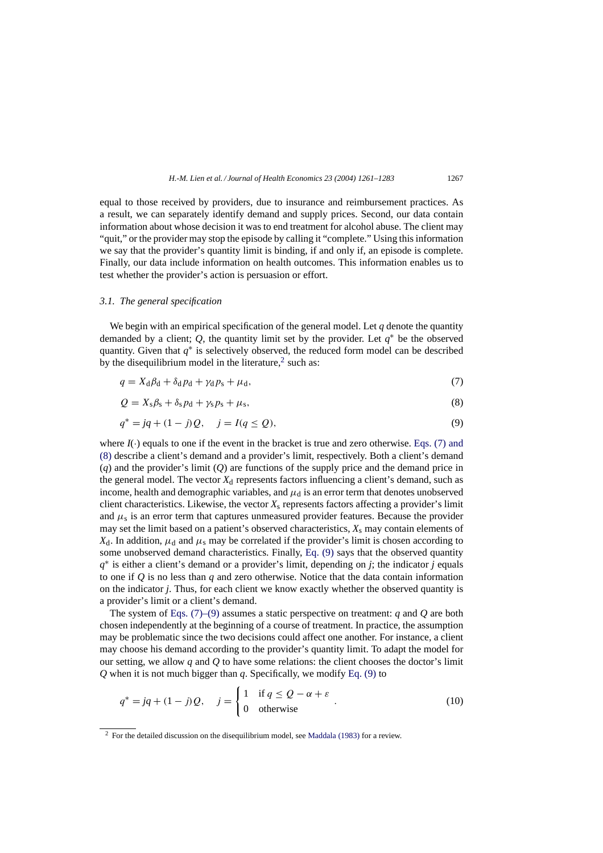<span id="page-6-0"></span>equal to those received by providers, due to insurance and reimbursement practices. As a result, we can separately identify demand and supply prices. Second, our data contain information about whose decision it was to end treatment for alcohol abuse. The client may "quit," or the provider may stop the episode by calling it "complete." Using this information we say that the provider's quantity limit is binding, if and only if, an episode is complete. Finally, our data include information on health outcomes. This information enables us to test whether the provider's action is persuasion or effort.

## *3.1. The general specification*

We begin with an empirical specification of the general model. Let *q* denote the quantity demanded by a client;  $Q$ , the quantity limit set by the provider. Let  $q^*$  be the observed quantity. Given that  $q^*$  is selectively observed, the reduced form model can be described by the disequilibrium model in the literature, $2$  such as:

$$
q = Xd \betad + \deltad pd + \gammad ps + \mud,
$$
\n(7)

$$
Q = Xs \betas + \deltas pd + \gammas ps + \mus,
$$
\n(8)

$$
q^* = iq + (1 - j)Q, \quad j = I(q \le Q), \tag{9}
$$

where  $I(\cdot)$  equals to one if the event in the bracket is true and zero otherwise. Eqs. (7) and (8) describe a client's demand and a provider's limit, respectively. Both a client's demand (*q*) and the provider's limit (*Q*) are functions of the supply price and the demand price in the general model. The vector  $X_d$  represents factors influencing a client's demand, such as income, health and demographic variables, and  $\mu_d$  is an error term that denotes unobserved client characteristics. Likewise, the vector *X*<sup>s</sup> represents factors affecting a provider's limit and  $\mu_s$  is an error term that captures unmeasured provider features. Because the provider may set the limit based on a patient's observed characteristics, *X*<sup>s</sup> may contain elements of  $X_d$ . In addition,  $\mu_d$  and  $\mu_s$  may be correlated if the provider's limit is chosen according to some unobserved demand characteristics. Finally, Eq. (9) says that the observed quantity *q*∗ is either a client's demand or a provider's limit, depending on *j*; the indicator *j* equals to one if *Q* is no less than *q* and zero otherwise. Notice that the data contain information on the indicator *j*. Thus, for each client we know exactly whether the observed quantity is a provider's limit or a client's demand.

The system of Eqs. (7)–(9) assumes a static perspective on treatment: *q* and *Q* are both chosen independently at the beginning of a course of treatment. In practice, the assumption may be problematic since the two decisions could affect one another. For instance, a client may choose his demand according to the provider's quantity limit. To adapt the model for our setting, we allow *q* and *Q* to have some relations: the client chooses the doctor's limit *Q* when it is not much bigger than *q*. Specifically, we modify Eq. (9) to

$$
q^* = iq + (1 - j)Q, \quad j = \begin{cases} 1 & \text{if } q \le Q - \alpha + \varepsilon \\ 0 & \text{otherwise} \end{cases} . \tag{10}
$$

 $2$  For the detailed discussion on the disequilibrium model, see [Maddala \(1983\)](#page-22-0) for a review.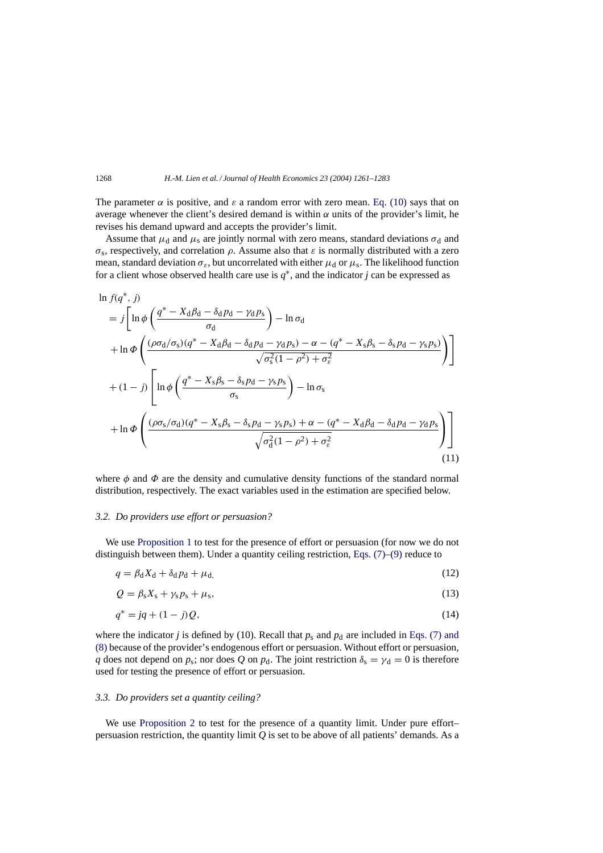The parameter  $\alpha$  is positive, and  $\varepsilon$  a random error with zero mean. [Eq. \(10\)](#page-6-0) says that on average whenever the client's desired demand is within  $\alpha$  units of the provider's limit, he revises his demand upward and accepts the provider's limit.

Assume that  $\mu_d$  and  $\mu_s$  are jointly normal with zero means, standard deviations  $\sigma_d$  and  $\sigma_s$ , respectively, and correlation  $\rho$ . Assume also that  $\varepsilon$  is normally distributed with a zero mean, standard deviation  $\sigma_{\varepsilon}$ , but uncorrelated with either  $\mu_{d}$  or  $\mu_{s}$ . The likelihood function for a client whose observed health care use is  $q^*$ , and the indicator *j* can be expressed as

$$
\ln f(q^*, j)
$$
\n
$$
= j \left[ \ln \phi \left( \frac{q^* - X_d \beta_d - \delta_d p_d - \gamma_d p_s}{\sigma_d} \right) - \ln \sigma_d \right.
$$
\n
$$
+ \ln \phi \left( \frac{(\rho \sigma_d / \sigma_s)(q^* - X_d \beta_d - \delta_d p_d - \gamma_d p_s) - \alpha - (q^* - X_s \beta_s - \delta_s p_d - \gamma_s p_s)}{\sqrt{\sigma_s^2 (1 - \rho^2) + \sigma_\varepsilon^2}} \right) \right]
$$
\n
$$
+ (1 - j) \left[ \ln \phi \left( \frac{q^* - X_s \beta_s - \delta_s p_d - \gamma_s p_s}{\sigma_s} \right) - \ln \sigma_s \right.
$$
\n
$$
+ \ln \phi \left( \frac{(\rho \sigma_s / \sigma_d)(q^* - X_s \beta_s - \delta_s p_d - \gamma_s p_s) + \alpha - (q^* - X_d \beta_d - \delta_d p_d - \gamma_d p_s}{\sqrt{\sigma_d^2 (1 - \rho^2) + \sigma_\varepsilon^2}} \right) \right]
$$
\n(11)

where  $\phi$  and  $\Phi$  are the density and cumulative density functions of the standard normal distribution, respectively. The exact variables used in the estimation are specified below.

#### *3.2. Do providers use effort or persuasion?*

We use [Proposition 1](#page-5-0) to test for the presence of effort or persuasion (for now we do not distinguish between them). Under a quantity ceiling restriction, [Eqs. \(7\)–\(9\)](#page-6-0) reduce to

$$
q = \beta_d X_d + \delta_d p_d + \mu_d,\tag{12}
$$

$$
Q = \beta_s X_s + \gamma_s p_s + \mu_s,\tag{13}
$$

$$
q^* = iq + (1 - j)Q,
$$
\n(14)

where the indicator *j* is defined by (10). Recall that  $p_s$  and  $p_d$  are included in [Eqs. \(7\) and](#page-6-0) [\(8\)](#page-6-0) because of the provider's endogenous effort or persuasion. Without effort or persuasion, *q* does not depend on  $p_s$ ; nor does *Q* on  $p_d$ . The joint restriction  $\delta_s = \gamma_d = 0$  is therefore used for testing the presence of effort or persuasion.

## *3.3. Do providers set a quantity ceiling?*

We use [Proposition 2](#page-5-0) to test for the presence of a quantity limit. Under pure effort– persuasion restriction, the quantity limit *Q* is set to be above of all patients' demands. As a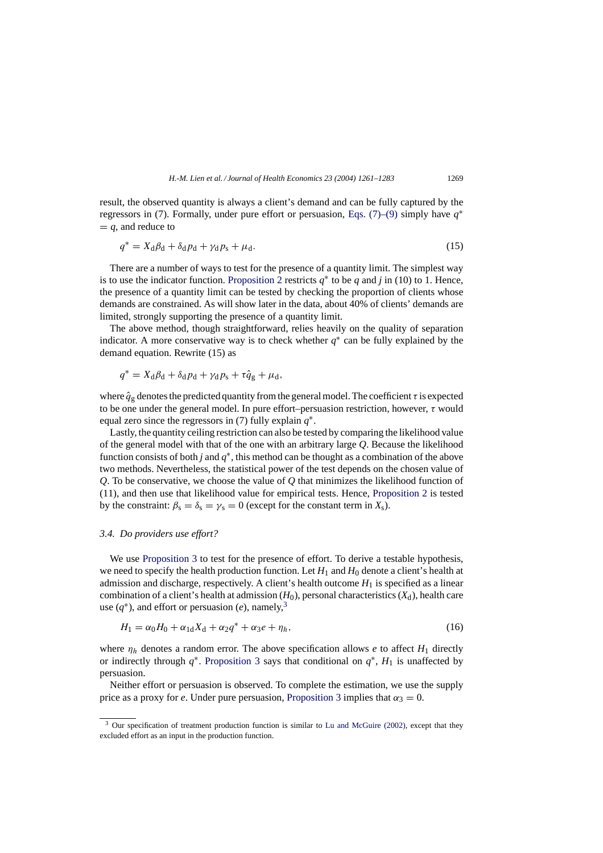result, the observed quantity is always a client's demand and can be fully captured by the regressors in (7). Formally, under pure effort or persuasion, [Eqs. \(7\)–\(9\)](#page-6-0) simply have *q*∗  $= q$ , and reduce to

$$
q^* = X_d \beta_d + \delta_d p_d + \gamma_d p_s + \mu_d. \tag{15}
$$

There are a number of ways to test for the presence of a quantity limit. The simplest way is to use the indicator function. [Proposition 2](#page-5-0) restricts  $q^*$  to be  $q$  and  $j$  in (10) to 1. Hence, the presence of a quantity limit can be tested by checking the proportion of clients whose demands are constrained. As will show later in the data, about 40% of clients' demands are limited, strongly supporting the presence of a quantity limit.

The above method, though straightforward, relies heavily on the quality of separation indicator. A more conservative way is to check whether  $q^*$  can be fully explained by the demand equation. Rewrite (15) as

$$
q^* = X_d \beta_d + \delta_d p_d + \gamma_d p_s + \tau \hat{q}_g + \mu_d,
$$

where  $\hat{q}_g$  denotes the predicted quantity from the general model. The coefficient  $\tau$  is expected to be one under the general model. In pure effort–persuasion restriction, however,  $\tau$  would equal zero since the regressors in (7) fully explain *q*∗.

Lastly, the quantity ceiling restriction can also be tested by comparing the likelihood value of the general model with that of the one with an arbitrary large *Q*. Because the likelihood function consists of both *j* and *q*∗, this method can be thought as a combination of the above two methods. Nevertheless, the statistical power of the test depends on the chosen value of *Q*. To be conservative, we choose the value of *Q* that minimizes the likelihood function of (11), and then use that likelihood value for empirical tests. Hence, [Proposition 2](#page-5-0) is tested by the constraint:  $\beta_s = \delta_s = \gamma_s = 0$  (except for the constant term in  $X_s$ ).

#### *3.4. Do providers use effort?*

We use [Proposition 3](#page-5-0) to test for the presence of effort. To derive a testable hypothesis, we need to specify the health production function. Let  $H_1$  and  $H_0$  denote a client's health at admission and discharge, respectively. A client's health outcome  $H_1$  is specified as a linear combination of a client's health at admission  $(H_0)$ , personal characteristics  $(X_d)$ , health care use  $(q^*)$ , and effort or persuasion (*e*), namely,<sup>3</sup>

$$
H_1 = \alpha_0 H_0 + \alpha_{1d} X_d + \alpha_2 q^* + \alpha_3 e + \eta_h, \tag{16}
$$

where  $\eta_h$  denotes a random error. The above specification allows *e* to affect  $H_1$  directly or indirectly through *q*∗. [Proposition 3](#page-5-0) says that conditional on *q*∗, *H*<sup>1</sup> is unaffected by persuasion.

Neither effort or persuasion is observed. To complete the estimation, we use the supply price as a proxy for *e*. Under pure persuasion, [Proposition 3](#page-5-0) implies that  $\alpha_3 = 0$ .

<sup>&</sup>lt;sup>3</sup> Our specification of treatment production function is similar to [Lu and McGuire \(2002\),](#page-22-0) except that they excluded effort as an input in the production function.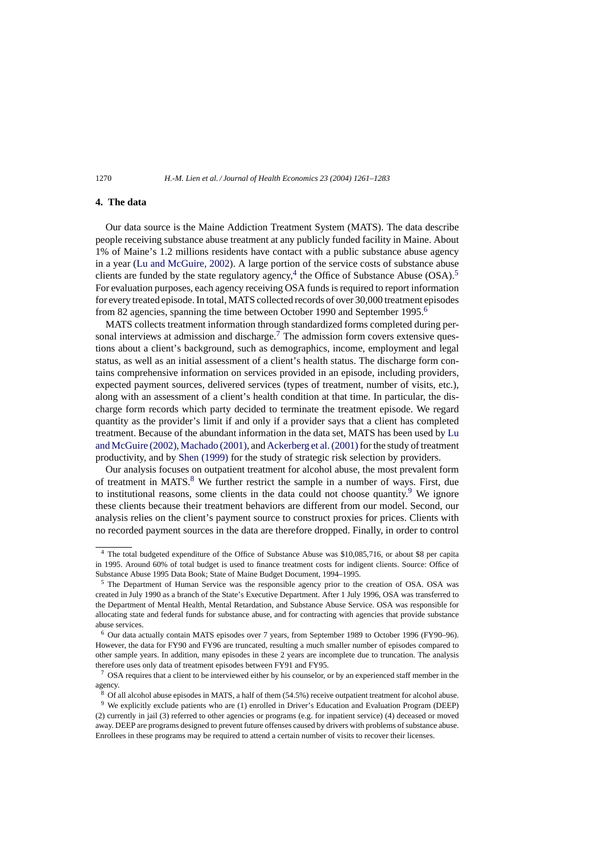## <span id="page-9-0"></span>**4. The data**

Our data source is the Maine Addiction Treatment System (MATS). The data describe people receiving substance abuse treatment at any publicly funded facility in Maine. About 1% of Maine's 1.2 millions residents have contact with a public substance abuse agency in a year ([Lu and McGuire, 2002\).](#page-22-0) A large portion of the service costs of substance abuse clients are funded by the state regulatory agency,<sup>4</sup> the Office of Substance Abuse (OSA).<sup>5</sup> For evaluation purposes, each agency receiving OSA funds is required to report information for every treated episode. In total, MATS collected records of over 30,000 treatment episodes from 82 agencies, spanning the time between October 1990 and September 1995.<sup>6</sup>

MATS collects treatment information through standardized forms completed during personal interviews at admission and discharge.<sup>7</sup> The admission form covers extensive questions about a client's background, such as demographics, income, employment and legal status, as well as an initial assessment of a client's health status. The discharge form contains comprehensive information on services provided in an episode, including providers, expected payment sources, delivered services (types of treatment, number of visits, etc.), along with an assessment of a client's health condition at that time. In particular, the discharge form records which party decided to terminate the treatment episode. We regard quantity as the provider's limit if and only if a provider says that a client has completed treatment. Because of the abundant information in the data set, MATS has been used by [Lu](#page-22-0) [and McGuire \(2002\),](#page-22-0) [Machado \(2001\), a](#page-22-0)nd Ackerberg et al. (2001) for the study of treatment productivity, and by [Shen \(1999\)](#page-22-0) for the study of strategic risk selection by providers.

Our analysis focuses on outpatient treatment for alcohol abuse, the most prevalent form of treatment in MATS.<sup>8</sup> We further restrict the sample in a number of ways. First, due to institutional reasons, some clients in the data could not choose quantity.<sup>9</sup> We ignore these clients because their treatment behaviors are different from our model. Second, our analysis relies on the client's payment source to construct proxies for prices. Clients with no recorded payment sources in the data are therefore dropped. Finally, in order to control

<sup>4</sup> The total budgeted expenditure of the Office of Substance Abuse was \$10,085,716, or about \$8 per capita in 1995. Around 60% of total budget is used to finance treatment costs for indigent clients. Source: Office of Substance Abuse 1995 Data Book; State of Maine Budget Document, 1994–1995.

<sup>&</sup>lt;sup>5</sup> The Department of Human Service was the responsible agency prior to the creation of OSA. OSA was created in July 1990 as a branch of the State's Executive Department. After 1 July 1996, OSA was transferred to the Department of Mental Health, Mental Retardation, and Substance Abuse Service. OSA was responsible for allocating state and federal funds for substance abuse, and for contracting with agencies that provide substance abuse services.

<sup>6</sup> Our data actually contain MATS episodes over 7 years, from September 1989 to October 1996 (FY90–96). However, the data for FY90 and FY96 are truncated, resulting a much smaller number of episodes compared to other sample years. In addition, many episodes in these 2 years are incomplete due to truncation. The analysis therefore uses only data of treatment episodes between FY91 and FY95.

 $7$  OSA requires that a client to be interviewed either by his counselor, or by an experienced staff member in the agency.

 $8\text{ Of all alcohol abuse episodes in MATS, a half of them (54.5%) receive output treatment for alcohol abuse.}$ 

<sup>9</sup> We explicitly exclude patients who are (1) enrolled in Driver's Education and Evaluation Program (DEEP) (2) currently in jail (3) referred to other agencies or programs (e.g. for inpatient service) (4) deceased or moved away. DEEP are programs designed to prevent future offenses caused by drivers with problems of substance abuse. Enrollees in these programs may be required to attend a certain number of visits to recover their licenses.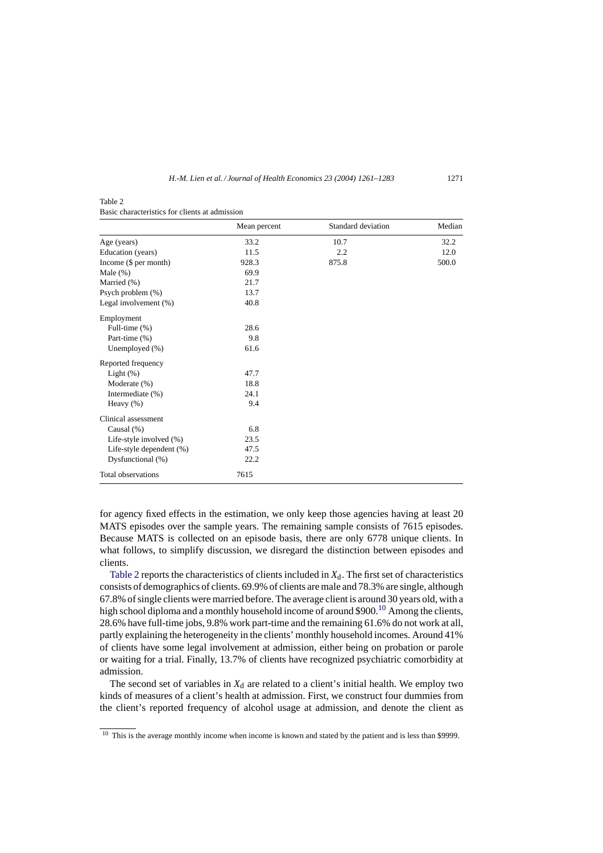|                            | Mean percent | Standard deviation | Median |
|----------------------------|--------------|--------------------|--------|
| Age (years)                | 33.2         | 10.7               | 32.2   |
| Education (years)          | 11.5         | 2.2                | 12.0   |
| Income (\$ per month)      | 928.3        | 875.8              | 500.0  |
| Male $(\%)$                | 69.9         |                    |        |
| Married (%)                | 21.7         |                    |        |
| Psych problem (%)          | 13.7         |                    |        |
| Legal involvement (%)      | 40.8         |                    |        |
| Employment                 |              |                    |        |
| Full-time (%)              | 28.6         |                    |        |
| Part-time (%)              | 9.8          |                    |        |
| Unemployed (%)             | 61.6         |                    |        |
| Reported frequency         |              |                    |        |
| Light $(\%)$               | 47.7         |                    |        |
| Moderate (%)               | 18.8         |                    |        |
| Intermediate (%)           | 24.1         |                    |        |
| Heavy $(\%)$               | 9.4          |                    |        |
| Clinical assessment        |              |                    |        |
| Causal $(\%)$              | 6.8          |                    |        |
| Life-style involved $(\%)$ | 23.5         |                    |        |
| Life-style dependent (%)   | 47.5         |                    |        |
| Dysfunctional (%)          | 22.2         |                    |        |
| Total observations         | 7615         |                    |        |

<span id="page-10-0"></span>Table 2 Basic characteristics for clients at admission

for agency fixed effects in the estimation, we only keep those agencies having at least 20 MATS episodes over the sample years. The remaining sample consists of 7615 episodes. Because MATS is collected on an episode basis, there are only 6778 unique clients. In what follows, to simplify discussion, we disregard the distinction between episodes and clients.

Table 2 reports the characteristics of clients included in  $X_d$ . The first set of characteristics consists of demographics of clients. 69.9% of clients are male and 78.3% are single, although 67.8% of single clients were married before. The average client is around 30 years old, with a high school diploma and a monthly household income of around \$900.<sup>10</sup> Among the clients, 28.6% have full-time jobs, 9.8% work part-time and the remaining 61.6% do not work at all, partly explaining the heterogeneity in the clients' monthly household incomes. Around 41% of clients have some legal involvement at admission, either being on probation or parole or waiting for a trial. Finally, 13.7% of clients have recognized psychiatric comorbidity at admission.

The second set of variables in  $X<sub>d</sub>$  are related to a client's initial health. We employ two kinds of measures of a client's health at admission. First, we construct four dummies from the client's reported frequency of alcohol usage at admission, and denote the client as

<sup>&</sup>lt;sup>10</sup> This is the average monthly income when income is known and stated by the patient and is less than \$9999.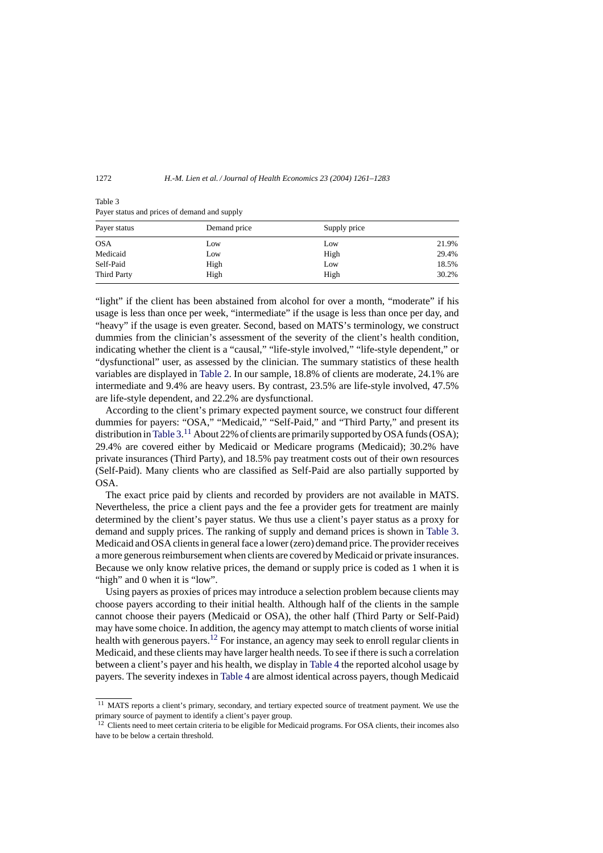Table 3 Payer status and prices of demand and supply

| Payer status | Demand price | Supply price |       |
|--------------|--------------|--------------|-------|
| <b>OSA</b>   | Low          | Low          | 21.9% |
| Medicaid     | Low          | High         | 29.4% |
| Self-Paid    | High         | Low          | 18.5% |
| Third Party  | High         | High         | 30.2% |

"light" if the client has been abstained from alcohol for over a month, "moderate" if his usage is less than once per week, "intermediate" if the usage is less than once per day, and "heavy" if the usage is even greater. Second, based on MATS's terminology, we construct dummies from the clinician's assessment of the severity of the client's health condition, indicating whether the client is a "causal," "life-style involved," "life-style dependent," or "dysfunctional" user, as assessed by the clinician. The summary statistics of these health variables are displayed in [Table 2. I](#page-10-0)n our sample, 18.8% of clients are moderate, 24.1% are intermediate and 9.4% are heavy users. By contrast, 23.5% are life-style involved, 47.5% are life-style dependent, and 22.2% are dysfunctional.

According to the client's primary expected payment source, we construct four different dummies for payers: "OSA," "Medicaid," "Self-Paid," and "Third Party," and present its distribution in Table 3.<sup>11</sup> About 22% of clients are primarily supported by OSA funds (OSA); 29.4% are covered either by Medicaid or Medicare programs (Medicaid); 30.2% have private insurances (Third Party), and 18.5% pay treatment costs out of their own resources (Self-Paid). Many clients who are classified as Self-Paid are also partially supported by OSA.

The exact price paid by clients and recorded by providers are not available in MATS. Nevertheless, the price a client pays and the fee a provider gets for treatment are mainly determined by the client's payer status. We thus use a client's payer status as a proxy for demand and supply prices. The ranking of supply and demand prices is shown in Table 3. Medicaid and OSA clients in general face a lower (zero) demand price. The provider receives a more generous reimbursement when clients are covered by Medicaid or private insurances. Because we only know relative prices, the demand or supply price is coded as 1 when it is "high" and 0 when it is "low".

Using payers as proxies of prices may introduce a selection problem because clients may choose payers according to their initial health. Although half of the clients in the sample cannot choose their payers (Medicaid or OSA), the other half (Third Party or Self-Paid) may have some choice. In addition, the agency may attempt to match clients of worse initial health with generous payers.<sup>12</sup> For instance, an agency may seek to enroll regular clients in Medicaid, and these clients may have larger health needs. To see if there is such a correlation between a client's payer and his health, we display in [Table 4](#page-12-0) the reported alcohol usage by payers. The severity indexes in [Table 4](#page-12-0) are almost identical across payers, though Medicaid

<sup>&</sup>lt;sup>11</sup> MATS reports a client's primary, secondary, and tertiary expected source of treatment payment. We use the primary source of payment to identify a client's payer group.

<sup>&</sup>lt;sup>12</sup> Clients need to meet certain criteria to be eligible for Medicaid programs. For OSA clients, their incomes also have to be below a certain threshold.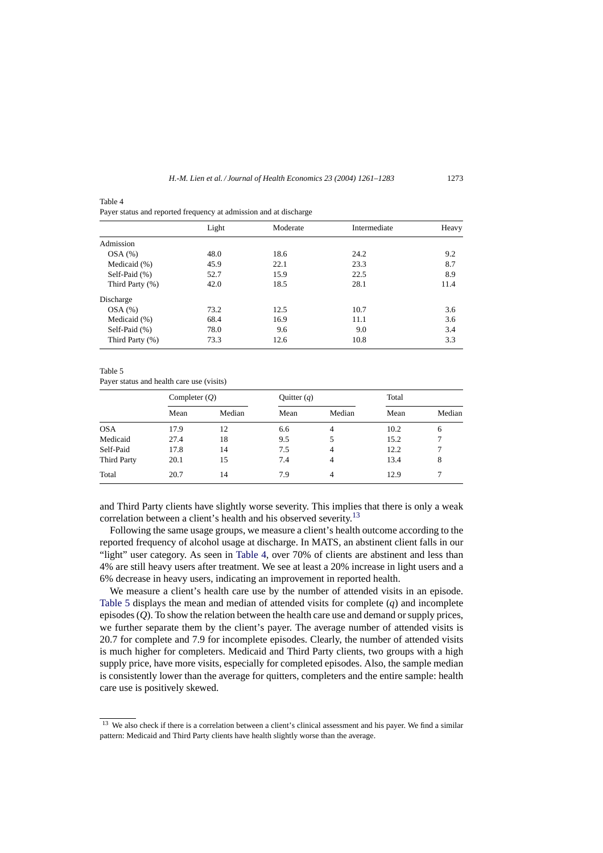|                 | Light | Moderate | Intermediate | Heavy |
|-----------------|-------|----------|--------------|-------|
| Admission       |       |          |              |       |
| OSA(%)          | 48.0  | 18.6     | 24.2         | 9.2   |
| Medicaid (%)    | 45.9  | 22.1     | 23.3         | 8.7   |
| Self-Paid (%)   | 52.7  | 15.9     | 22.5         | 8.9   |
| Third Party (%) | 42.0  | 18.5     | 28.1         | 11.4  |
| Discharge       |       |          |              |       |
| OSA(%)          | 73.2  | 12.5     | 10.7         | 3.6   |
| Medicaid (%)    | 68.4  | 16.9     | 11.1         | 3.6   |
| Self-Paid (%)   | 78.0  | 9.6      | 9.0          | 3.4   |
| Third Party (%) | 73.3  | 12.6     | 10.8         | 3.3   |

<span id="page-12-0"></span>Table 4 Payer status and reported frequency at admission and at discharge

Table 5

Payer status and health care use (visits)

|             | Completer $(Q)$ |        |      | Quitter $(q)$ |      | Total  |  |
|-------------|-----------------|--------|------|---------------|------|--------|--|
|             | Mean            | Median | Mean | Median        | Mean | Median |  |
| <b>OSA</b>  | 17.9            | 12     | 6.6  | 4             | 10.2 | 6      |  |
| Medicaid    | 27.4            | 18     | 9.5  | 5             | 15.2 | 7      |  |
| Self-Paid   | 17.8            | 14     | 7.5  | 4             | 12.2 | 7      |  |
| Third Party | 20.1            | 15     | 7.4  | 4             | 13.4 | 8      |  |
| Total       | 20.7            | 14     | 7.9  | 4             | 12.9 |        |  |

and Third Party clients have slightly worse severity. This implies that there is only a weak correlation between a client's health and his observed severity.<sup>13</sup>

Following the same usage groups, we measure a client's health outcome according to the reported frequency of alcohol usage at discharge. In MATS, an abstinent client falls in our "light" user category. As seen in Table 4, over 70% of clients are abstinent and less than 4% are still heavy users after treatment. We see at least a 20% increase in light users and a 6% decrease in heavy users, indicating an improvement in reported health.

We measure a client's health care use by the number of attended visits in an episode. Table 5 displays the mean and median of attended visits for complete (*q*) and incomplete episodes  $(0)$ . To show the relation between the health care use and demand or supply prices, we further separate them by the client's payer. The average number of attended visits is 20.7 for complete and 7.9 for incomplete episodes. Clearly, the number of attended visits is much higher for completers. Medicaid and Third Party clients, two groups with a high supply price, have more visits, especially for completed episodes. Also, the sample median is consistently lower than the average for quitters, completers and the entire sample: health care use is positively skewed.

<sup>&</sup>lt;sup>13</sup> We also check if there is a correlation between a client's clinical assessment and his payer. We find a similar pattern: Medicaid and Third Party clients have health slightly worse than the average.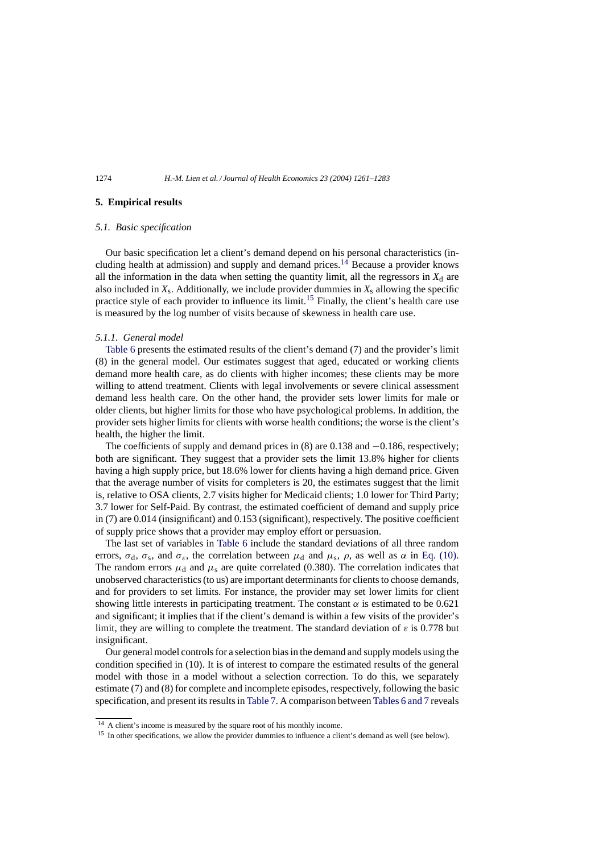#### <span id="page-13-0"></span>**5. Empirical results**

#### *5.1. Basic specification*

Our basic specification let a client's demand depend on his personal characteristics (including health at admission) and supply and demand prices.<sup>14</sup> Because a provider knows all the information in the data when setting the quantity limit, all the regressors in  $X_d$  are also included in  $X_s$ . Additionally, we include provider dummies in  $X_s$  allowing the specific practice style of each provider to influence its limit.<sup>15</sup> Finally, the client's health care use is measured by the log number of visits because of skewness in health care use.

### *5.1.1. General model*

[Table 6](#page-14-0) presents the estimated results of the client's demand (7) and the provider's limit (8) in the general model. Our estimates suggest that aged, educated or working clients demand more health care, as do clients with higher incomes; these clients may be more willing to attend treatment. Clients with legal involvements or severe clinical assessment demand less health care. On the other hand, the provider sets lower limits for male or older clients, but higher limits for those who have psychological problems. In addition, the provider sets higher limits for clients with worse health conditions; the worse is the client's health, the higher the limit.

The coefficients of supply and demand prices in  $(8)$  are 0.138 and  $-0.186$ , respectively; both are significant. They suggest that a provider sets the limit 13.8% higher for clients having a high supply price, but 18.6% lower for clients having a high demand price. Given that the average number of visits for completers is 20, the estimates suggest that the limit is, relative to OSA clients, 2.7 visits higher for Medicaid clients; 1.0 lower for Third Party; 3.7 lower for Self-Paid. By contrast, the estimated coefficient of demand and supply price in (7) are 0.014 (insignificant) and 0.153 (significant), respectively. The positive coefficient of supply price shows that a provider may employ effort or persuasion.

The last set of variables in [Table 6](#page-14-0) include the standard deviations of all three random errors,  $\sigma_d$ ,  $\sigma_s$ , and  $\sigma_\varepsilon$ , the correlation between  $\mu_d$  and  $\mu_s$ ,  $\rho$ , as well as  $\alpha$  in [Eq. \(10\).](#page-6-0) The random errors  $\mu_d$  and  $\mu_s$  are quite correlated (0.380). The correlation indicates that unobserved characteristics (to us) are important determinants for clients to choose demands, and for providers to set limits. For instance, the provider may set lower limits for client showing little interests in participating treatment. The constant  $\alpha$  is estimated to be 0.621 and significant; it implies that if the client's demand is within a few visits of the provider's limit, they are willing to complete the treatment. The standard deviation of  $\varepsilon$  is 0.778 but insignificant.

Our general model controls for a selection bias in the demand and supply models using the condition specified in (10). It is of interest to compare the estimated results of the general model with those in a model without a selection correction. To do this, we separately estimate (7) and (8) for complete and incomplete episodes, respectively, following the basic specification, and present its results in [Table 7. A](#page-15-0) comparison between [Tables 6 and 7](#page-14-0) reveals

<sup>&</sup>lt;sup>14</sup> A client's income is measured by the square root of his monthly income.

<sup>&</sup>lt;sup>15</sup> In other specifications, we allow the provider dummies to influence a client's demand as well (see below).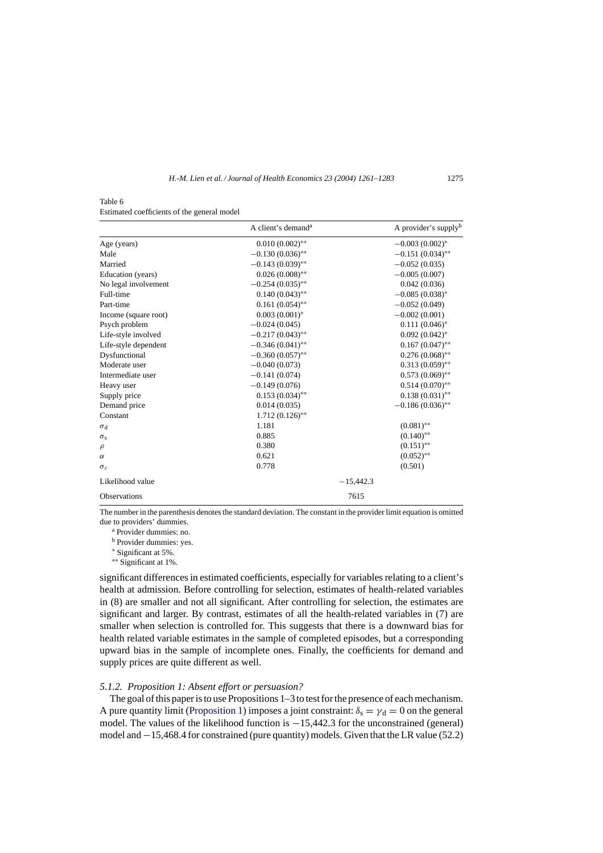<span id="page-14-0"></span>

|                        | A client's demand <sup>a</sup> | A provider's supply <sup>b</sup> |
|------------------------|--------------------------------|----------------------------------|
| Age (years)            | $0.010(0.002)$ **              | $-0.003(0.002)^{*}$              |
| Male                   | $-0.130(0.036)$ **             | $-0.151(0.034)$ **               |
| Married                | $-0.143(0.039)$ **             | $-0.052(0.035)$                  |
| Education (years)      | $0.026(0.008)$ **              | $-0.005(0.007)$                  |
| No legal involvement   | $-0.254(0.035)$ **             | 0.042(0.036)                     |
| Full-time              | $0.140(0.043)$ **              | $-0.085(0.038)$ *                |
| Part-time              | $0.161(0.054)$ **              | $-0.052(0.049)$                  |
| Income (square root)   | $0.003(0.001)^*$               | $-0.002(0.001)$                  |
| Psych problem          | $-0.024(0.045)$                | $0.111(0.046)$ *                 |
| Life-style involved    | $-0.217(0.043)$ **             | $0.092(0.042)^*$                 |
| Life-style dependent   | $-0.346(0.041)$ **             | $0.167(0.047)$ **                |
| Dysfunctional          | $-0.360(0.057)$ **             | $0.276(0.068)$ **                |
| Moderate user          | $-0.040(0.073)$                | $0.313(0.059)$ **                |
| Intermediate user      | $-0.141(0.074)$                | $0.573(0.069)$ **                |
| Heavy user             | $-0.149(0.076)$                | $0.514(0.070)$ **                |
| Supply price           | $0.153(0.034)$ **              | $0.138(0.031)$ **                |
| Demand price           | 0.014(0.035)                   | $-0.186(0.036)$ **               |
| Constant               | $1.712(0.126)$ **              |                                  |
| $\sigma_d$             | 1.181                          | $(0.081)$ **                     |
| $\sigma_{\rm s}$       | 0.885                          | $(0.140)$ **                     |
| $\rho$                 | 0.380                          | $(0.151)$ **                     |
| $\alpha$               | 0.621                          | $(0.052)$ **                     |
| $\sigma_{\varepsilon}$ | 0.778                          | (0.501)                          |
| Likelihood value       |                                | $-15,442.3$                      |
| <b>Observations</b>    |                                | 7615                             |

The number in the parenthesis denotes the standard deviation. The constant in the provider limit equation is omitted due to providers' dummies.

<sup>a</sup> Provider dummies: no.

<sup>b</sup> Provider dummies: yes.

∗ Significant at 5%.

∗∗ Significant at 1%.

significant differences in estimated coefficients, especially for variables relating to a client's health at admission. Before controlling for selection, estimates of health-related variables in (8) are smaller and not all significant. After controlling for selection, the estimates are significant and larger. By contrast, estimates of all the health-related variables in (7) are smaller when selection is controlled for. This suggests that there is a downward bias for health related variable estimates in the sample of completed episodes, but a corresponding upward bias in the sample of incomplete ones. Finally, the coefficients for demand and supply prices are quite different as well.

# *5.1.2. Proposition 1: Absent effort or persuasion?*

The goal of this paper is to use Propositions 1–3 to test for the presence of each mechanism. A pure quantity limit ([Proposition 1\)](#page-5-0) imposes a joint constraint:  $\delta_8 = \gamma_d = 0$  on the general model. The values of the likelihood function is −15,442.3 for the unconstrained (general) model and −15,468.4 for constrained (pure quantity) models. Given that the LR value (52.2)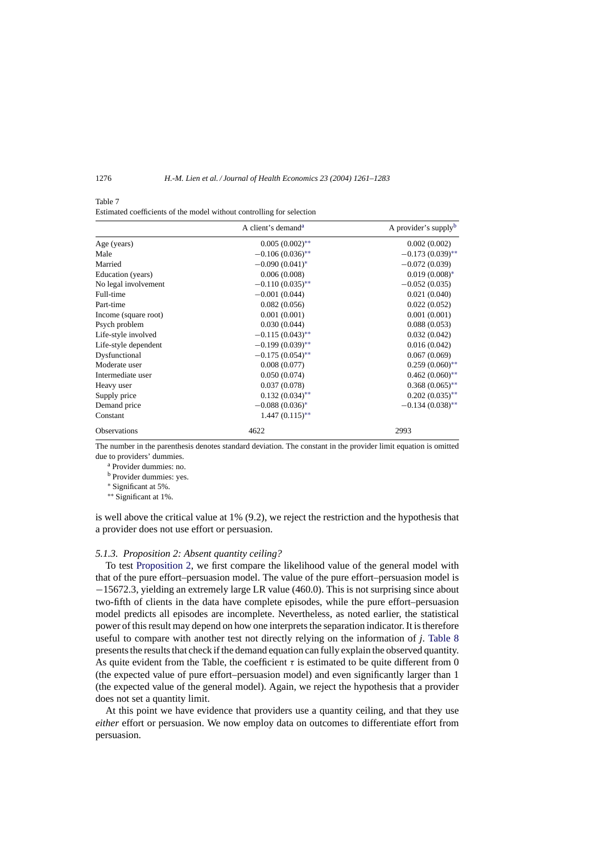<span id="page-15-0"></span>Table 7 Estimated coefficients of the model without controlling for selection

|                      | A client's demand <sup>a</sup> | A provider's supply <sup>b</sup> |
|----------------------|--------------------------------|----------------------------------|
| Age (years)          | $0.005(0.002)$ **              | 0.002(0.002)                     |
| Male                 | $-0.106(0.036)$ **             | $-0.173(0.039)$ **               |
| Married              | $-0.090(0.041)^{*}$            | $-0.072(0.039)$                  |
| Education (years)    | 0.006(0.008)                   | $0.019(0.008)$ *                 |
| No legal involvement | $-0.110(0.035)$ **             | $-0.052(0.035)$                  |
| Full-time            | $-0.001(0.044)$                | 0.021(0.040)                     |
| Part-time            | 0.082(0.056)                   | 0.022(0.052)                     |
| Income (square root) | 0.001(0.001)                   | 0.001(0.001)                     |
| Psych problem        | 0.030(0.044)                   | 0.088(0.053)                     |
| Life-style involved  | $-0.115(0.043)$ **             | 0.032(0.042)                     |
| Life-style dependent | $-0.199(0.039)$ **             | 0.016(0.042)                     |
| Dysfunctional        | $-0.175(0.054)$ **             | 0.067(0.069)                     |
| Moderate user        | 0.008(0.077)                   | $0.259(0.060)$ **                |
| Intermediate user    | 0.050(0.074)                   | $0.462(0.060)$ **                |
| Heavy user           | 0.037(0.078)                   | $0.368(0.065)$ **                |
| Supply price         | $0.132(0.034)$ **              | $0.202(0.035)$ **                |
| Demand price         | $-0.088(0.036)$ *              | $-0.134(0.038)$ **               |
| Constant             | $1.447(0.115)$ **              |                                  |
| <b>Observations</b>  | 4622                           | 2993                             |

The number in the parenthesis denotes standard deviation. The constant in the provider limit equation is omitted due to providers' dummies.

<sup>a</sup> Provider dummies: no.

<sup>b</sup> Provider dummies: yes.

∗ Significant at 5%.

∗∗ Significant at 1%.

is well above the critical value at 1% (9.2), we reject the restriction and the hypothesis that a provider does not use effort or persuasion.

#### *5.1.3. Proposition 2: Absent quantity ceiling?*

To test [Proposition 2,](#page-5-0) we first compare the likelihood value of the general model with that of the pure effort–persuasion model. The value of the pure effort–persuasion model is −15672.3, yielding an extremely large LR value (460.0). This is not surprising since about two-fifth of clients in the data have complete episodes, while the pure effort–persuasion model predicts all episodes are incomplete. Nevertheless, as noted earlier, the statistical power of this result may depend on how one interprets the separation indicator. It is therefore useful to compare with another test not directly relying on the information of *j*. [Table 8](#page-16-0) presents the results that check if the demand equation can fully explain the observed quantity. As quite evident from the Table, the coefficient  $\tau$  is estimated to be quite different from 0 (the expected value of pure effort–persuasion model) and even significantly larger than 1 (the expected value of the general model). Again, we reject the hypothesis that a provider does not set a quantity limit.

At this point we have evidence that providers use a quantity ceiling, and that they use *either* effort or persuasion. We now employ data on outcomes to differentiate effort from persuasion.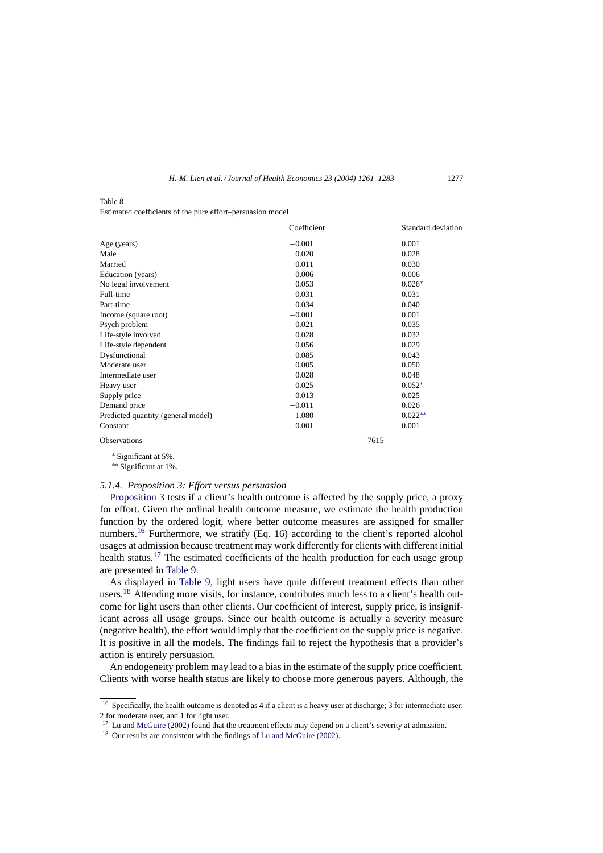| lable 8 |                                                            |
|---------|------------------------------------------------------------|
|         | Estimated coefficients of the pure effort–persuasion model |

|                                    | Coefficient | Standard deviation |
|------------------------------------|-------------|--------------------|
| Age (years)                        | $-0.001$    | 0.001              |
| Male                               | 0.020       | 0.028              |
| Married                            | 0.011       | 0.030              |
| Education (years)                  | $-0.006$    | 0.006              |
| No legal involvement               | 0.053       | $0.026*$           |
| Full-time                          | $-0.031$    | 0.031              |
| Part-time                          | $-0.034$    | 0.040              |
| Income (square root)               | $-0.001$    | 0.001              |
| Psych problem                      | 0.021       | 0.035              |
| Life-style involved                | 0.028       | 0.032              |
| Life-style dependent               | 0.056       | 0.029              |
| Dysfunctional                      | 0.085       | 0.043              |
| Moderate user                      | 0.005       | 0.050              |
| Intermediate user                  | 0.028       | 0.048              |
| Heavy user                         | 0.025       | $0.052*$           |
| Supply price                       | $-0.013$    | 0.025              |
| Demand price                       | $-0.011$    | 0.026              |
| Predicted quantity (general model) | 1.080       | $0.022**$          |
| Constant                           | $-0.001$    | 0.001              |
| <b>Observations</b>                |             | 7615               |

∗ Significant at 5%.

<span id="page-16-0"></span> $T \cdot T$ 

∗∗ Significant at 1%.

## *5.1.4. Proposition 3: Effort versus persuasion*

[Proposition 3](#page-5-0) tests if a client's health outcome is affected by the supply price, a proxy for effort. Given the ordinal health outcome measure, we estimate the health production function by the ordered logit, where better outcome measures are assigned for smaller numbers.<sup>16</sup> Furthermore, we stratify (Eq. 16) according to the client's reported alcohol usages at admission because treatment may work differently for clients with different initial health status.<sup>17</sup> The estimated coefficients of the health production for each usage group are presented in [Table 9.](#page-17-0)

As displayed in [Table 9,](#page-17-0) light users have quite different treatment effects than other users.<sup>18</sup> Attending more visits, for instance, contributes much less to a client's health outcome for light users than other clients. Our coefficient of interest, supply price, is insignificant across all usage groups. Since our health outcome is actually a severity measure (negative health), the effort would imply that the coefficient on the supply price is negative. It is positive in all the models. The findings fail to reject the hypothesis that a provider's action is entirely persuasion.

An endogeneity problem may lead to a bias in the estimate of the supply price coefficient. Clients with worse health status are likely to choose more generous payers. Although, the

<sup>&</sup>lt;sup>16</sup> Specifically, the health outcome is denoted as 4 if a client is a heavy user at discharge; 3 for intermediate user; 2 for moderate user, and 1 for light user.

<sup>&</sup>lt;sup>17</sup> [Lu and McGuire \(2002\)](#page-22-0) found that the treatment effects may depend on a client's severity at admission.

<sup>18</sup> Our results are consistent with the findings of [Lu and McGuire \(2002\).](#page-22-0)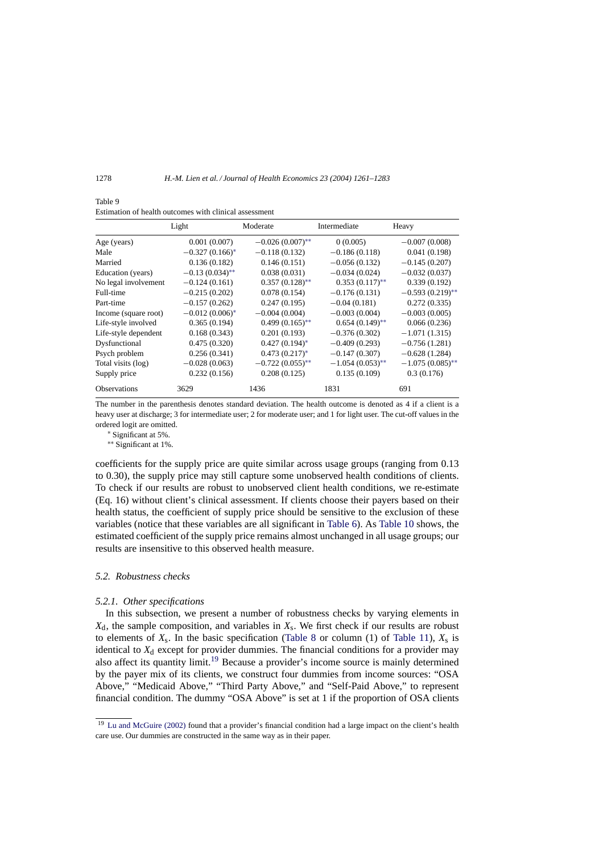|                      | Light             | Moderate           | Intermediate       | Heavy              |
|----------------------|-------------------|--------------------|--------------------|--------------------|
| Age (years)          | 0.001(0.007)      | $-0.026(0.007)$ ** | 0(0.005)           | $-0.007(0.008)$    |
| Male                 | $-0.327(0.166)^*$ | $-0.118(0.132)$    | $-0.186(0.118)$    | 0.041(0.198)       |
| Married              | 0.136(0.182)      | 0.146(0.151)       | $-0.056(0.132)$    | $-0.145(0.207)$    |
| Education (years)    | $-0.13(0.034)$ ** | 0.038(0.031)       | $-0.034(0.024)$    | $-0.032(0.037)$    |
| No legal involvement | $-0.124(0.161)$   | $0.357(0.128)$ **  | $0.353(0.117)$ **  | 0.339(0.192)       |
| Full-time            | $-0.215(0.202)$   | 0.078(0.154)       | $-0.176(0.131)$    | $-0.593(0.219)$ ** |
| Part-time            | $-0.157(0.262)$   | 0.247(0.195)       | $-0.04(0.181)$     | 0.272(0.335)       |
| Income (square root) | $-0.012(0.006)$ * | $-0.004(0.004)$    | $-0.003(0.004)$    | $-0.003(0.005)$    |
| Life-style involved  | 0.365(0.194)      | $0.499(0.165)$ **  | $0.654(0.149)$ **  | 0.066(0.236)       |
| Life-style dependent | 0.168(0.343)      | 0.201(0.193)       | $-0.376(0.302)$    | $-1.071(1.315)$    |
| Dysfunctional        | 0.475(0.320)      | $0.427(0.194)$ *   | $-0.409(0.293)$    | $-0.756(1.281)$    |
| Psych problem        | 0.256(0.341)      | $0.473(0.217)^*$   | $-0.147(0.307)$    | $-0.628(1.284)$    |
| Total visits (log)   | $-0.028(0.063)$   | $-0.722(0.055)$ ** | $-1.054(0.053)$ ** | $-1.075(0.085)$ ** |
| Supply price         | 0.232(0.156)      | 0.208(0.125)       | 0.135(0.109)       | 0.3(0.176)         |
| <b>Observations</b>  | 3629              | 1436               | 1831               | 691                |

<span id="page-17-0"></span>Table 9 Estimation of health outcomes with clinical assessment

The number in the parenthesis denotes standard deviation. The health outcome is denoted as 4 if a client is a heavy user at discharge; 3 for intermediate user; 2 for moderate user; and 1 for light user. The cut-off values in the ordered logit are omitted.

∗ Significant at 5%.

∗∗ Significant at 1%.

coefficients for the supply price are quite similar across usage groups (ranging from 0.13 to 0.30), the supply price may still capture some unobserved health conditions of clients. To check if our results are robust to unobserved client health conditions, we re-estimate (Eq. 16) without client's clinical assessment. If clients choose their payers based on their health status, the coefficient of supply price should be sensitive to the exclusion of these variables (notice that these variables are all significant in [Table 6\).](#page-14-0) As [Table 10](#page-18-0) shows, the estimated coefficient of the supply price remains almost unchanged in all usage groups; our results are insensitive to this observed health measure.

## *5.2. Robustness checks*

#### *5.2.1. Other specifications*

In this subsection, we present a number of robustness checks by varying elements in  $X<sub>d</sub>$ , the sample composition, and variables in  $X<sub>s</sub>$ . We first check if our results are robust to elements of  $X_s$ . In the basic specification [\(Table 8](#page-16-0) or column (1) of [Table 11\),](#page-19-0)  $X_s$  is identical to  $X_d$  except for provider dummies. The financial conditions for a provider may also affect its quantity limit.<sup>19</sup> Because a provider's income source is mainly determined by the payer mix of its clients, we construct four dummies from income sources: "OSA Above," "Medicaid Above," "Third Party Above," and "Self-Paid Above," to represent financial condition. The dummy "OSA Above" is set at 1 if the proportion of OSA clients

<sup>&</sup>lt;sup>19</sup> [Lu and McGuire \(2002\)](#page-22-0) found that a provider's financial condition had a large impact on the client's health care use. Our dummies are constructed in the same way as in their paper.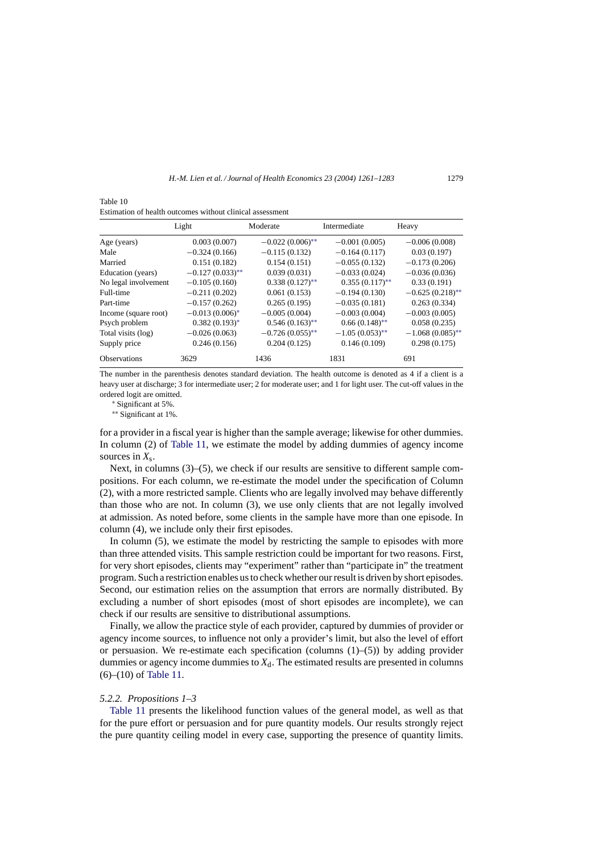<span id="page-18-0"></span>Table 10 Estimation of health outcomes without clinical assessment

|                      | Light              | Moderate           | Intermediate      | Heavy              |
|----------------------|--------------------|--------------------|-------------------|--------------------|
| Age (years)          | 0.003(0.007)       | $-0.022(0.006)$ ** | $-0.001(0.005)$   | $-0.006(0.008)$    |
| Male                 | $-0.324(0.166)$    | $-0.115(0.132)$    | $-0.164(0.117)$   | 0.03(0.197)        |
| Married              | 0.151(0.182)       | 0.154(0.151)       | $-0.055(0.132)$   | $-0.173(0.206)$    |
| Education (years)    | $-0.127(0.033)$ ** | 0.039(0.031)       | $-0.033(0.024)$   | $-0.036(0.036)$    |
| No legal involvement | $-0.105(0.160)$    | $0.338(0.127)$ **  | $0.355(0.117)$ ** | 0.33(0.191)        |
| Full-time            | $-0.211(0.202)$    | 0.061(0.153)       | $-0.194(0.130)$   | $-0.625(0.218)$ ** |
| Part-time            | $-0.157(0.262)$    | 0.265(0.195)       | $-0.035(0.181)$   | 0.263(0.334)       |
| Income (square root) | $-0.013(0.006)^*$  | $-0.005(0.004)$    | $-0.003(0.004)$   | $-0.003(0.005)$    |
| Psych problem        | $0.382(0.193)^*$   | $0.546(0.163)$ **  | $0.66(0.148)$ **  | 0.058(0.235)       |
| Total visits (log)   | $-0.026(0.063)$    | $-0.726(0.055)$ ** | $-1.05(0.053)$ ** | $-1.068(0.085)$ ** |
| Supply price         | 0.246(0.156)       | 0.204(0.125)       | 0.146(0.109)      | 0.298(0.175)       |
| <b>Observations</b>  | 3629               | 1436               | 1831              | 691                |

The number in the parenthesis denotes standard deviation. The health outcome is denoted as 4 if a client is a heavy user at discharge; 3 for intermediate user; 2 for moderate user; and 1 for light user. The cut-off values in the ordered logit are omitted.

∗ Significant at 5%.

∗∗ Significant at 1%.

for a provider in a fiscal year is higher than the sample average; likewise for other dummies. In column (2) of [Table 11,](#page-19-0) we estimate the model by adding dummies of agency income sources in *X*s.

Next, in columns  $(3)$ – $(5)$ , we check if our results are sensitive to different sample compositions. For each column, we re-estimate the model under the specification of Column (2), with a more restricted sample. Clients who are legally involved may behave differently than those who are not. In column (3), we use only clients that are not legally involved at admission. As noted before, some clients in the sample have more than one episode. In column (4), we include only their first episodes.

In column (5), we estimate the model by restricting the sample to episodes with more than three attended visits. This sample restriction could be important for two reasons. First, for very short episodes, clients may "experiment" rather than "participate in" the treatment program. Such a restriction enables us to check whether our result is driven by short episodes. Second, our estimation relies on the assumption that errors are normally distributed. By excluding a number of short episodes (most of short episodes are incomplete), we can check if our results are sensitive to distributional assumptions.

Finally, we allow the practice style of each provider, captured by dummies of provider or agency income sources, to influence not only a provider's limit, but also the level of effort or persuasion. We re-estimate each specification (columns  $(1)$ – $(5)$ ) by adding provider dummies or agency income dummies to  $X<sub>d</sub>$ . The estimated results are presented in columns (6)–(10) of [Table 11.](#page-19-0)

## *5.2.2. Propositions 1–3*

[Table 11](#page-19-0) presents the likelihood function values of the general model, as well as that for the pure effort or persuasion and for pure quantity models. Our results strongly reject the pure quantity ceiling model in every case, supporting the presence of quantity limits.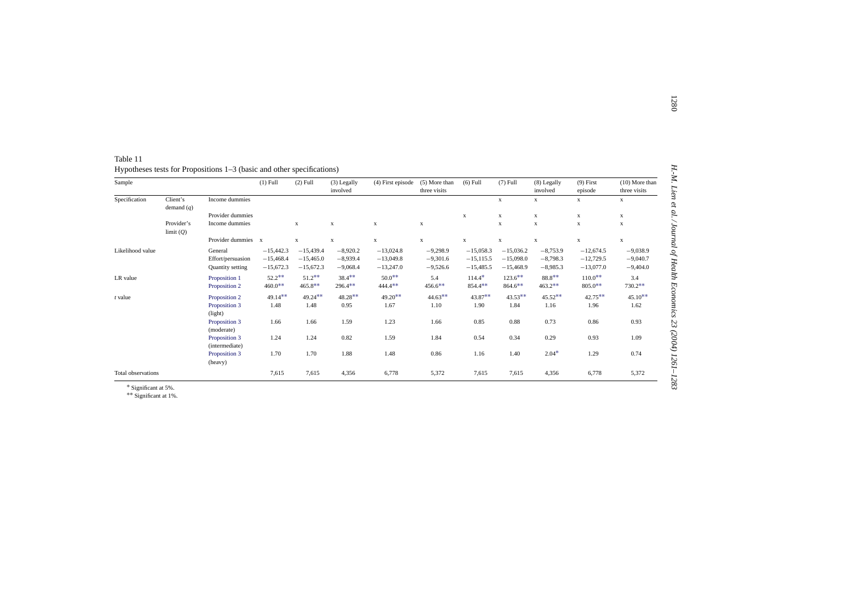<span id="page-19-0"></span>

|                    |                          |                                                  |                                           |                                           |                                        |                                           |                                        |                                           |                                           |                                        | epwoat                                    |                                        |
|--------------------|--------------------------|--------------------------------------------------|-------------------------------------------|-------------------------------------------|----------------------------------------|-------------------------------------------|----------------------------------------|-------------------------------------------|-------------------------------------------|----------------------------------------|-------------------------------------------|----------------------------------------|
| Specification      | Client's<br>demand $(q)$ | Income dummies                                   |                                           |                                           |                                        |                                           |                                        |                                           | $\mathbf X$                               | $\mathbf X$                            | $\mathbf x$                               | $\mathbf x$                            |
|                    |                          | Provider dummies                                 |                                           |                                           |                                        |                                           |                                        | $\mathbf x$                               | $\mathbf x$                               | X                                      | $\mathbf x$                               | $\mathbf x$                            |
|                    | Provider's<br>limit (Q)  | Income dummies                                   |                                           | $\mathbf x$                               | $\mathbf x$                            | $\mathbf x$                               | $\mathbf x$                            |                                           | $\mathbf X$                               | $\mathbf x$                            | x                                         | $\mathbf x$                            |
|                    |                          | Provider dummies x                               |                                           | $\mathbf x$                               | $\mathbf x$                            | $\mathbf x$                               | $\mathbf x$                            | $\mathbf x$                               | $\mathbf x$                               | $\mathbf x$                            | $\mathbf x$                               | $\mathbf x$                            |
| Likelihood value   |                          | General<br>Effort/persuasion<br>Quantity setting | $-15,442.3$<br>$-15,468.4$<br>$-15,672.3$ | $-15,439.4$<br>$-15,465.0$<br>$-15,672.3$ | $-8,920.2$<br>$-8,939.4$<br>$-9,068.4$ | $-13,024.8$<br>$-13,049.8$<br>$-13,247.0$ | $-9,298.9$<br>$-9,301.6$<br>$-9,526.6$ | $-15,058.3$<br>$-15,115.5$<br>$-15,485.5$ | $-15,036.2$<br>$-15,098.0$<br>$-15,468.9$ | $-8,753.9$<br>$-8,798.3$<br>$-8,985.3$ | $-12,674.5$<br>$-12,729.5$<br>$-13,077.0$ | $-9,038.9$<br>$-9,040.7$<br>$-9,404.0$ |
| LR value           |                          | Proposition 1<br>Proposition 2                   | $52.2$ **<br>$460.0**$                    | $51.2***$<br>$465.8**$                    | $38.4**$<br>$296.4***$                 | $50.0**$<br>444.4**                       | 5.4<br>$456.6***$                      | $114.4*$<br>854.4**                       | $123.6***$<br>$864.6***$                  | $88.8**$<br>$463.2**$                  | $110.0**$<br>$805.0**$                    | 3.4<br>$730.2**$                       |
| $t$ value          |                          | Proposition 2<br>Proposition 3<br>(light)        | 49.14**<br>1.48                           | 49.24**<br>1.48                           | 48.28**<br>0.95                        | 49.20**<br>1.67                           | $44.63**$<br>1.10                      | 43.87**<br>1.90                           | $43.53***$<br>1.84                        | $45.52**$<br>1.16                      | $42.75***$<br>1.96                        | $45.10**$<br>1.62                      |
|                    |                          | Proposition 3<br>(moderate)                      | 1.66                                      | 1.66                                      | 1.59                                   | 1.23                                      | 1.66                                   | 0.85                                      | 0.88                                      | 0.73                                   | 0.86                                      | 0.93                                   |
|                    |                          | Proposition 3<br>(intermediate)                  | 1.24                                      | 1.24                                      | 0.82                                   | 1.59                                      | 1.84                                   | 0.54                                      | 0.34                                      | 0.29                                   | 0.93                                      | 1.09                                   |
|                    |                          | Proposition 3<br>(heavy)                         | 1.70                                      | 1.70                                      | 1.88                                   | 1.48                                      | 0.86                                   | 1.16                                      | 1.40                                      | $2.04*$                                | 1.29                                      | 0.74                                   |
| Total observations |                          |                                                  | 7,615                                     | 7,615                                     | 4,356                                  | 6,778                                     | 5,372                                  | 7,615                                     | 7,615                                     | 4,356                                  | 6,778                                     | 5,372                                  |

∗∗ Significant at 1%.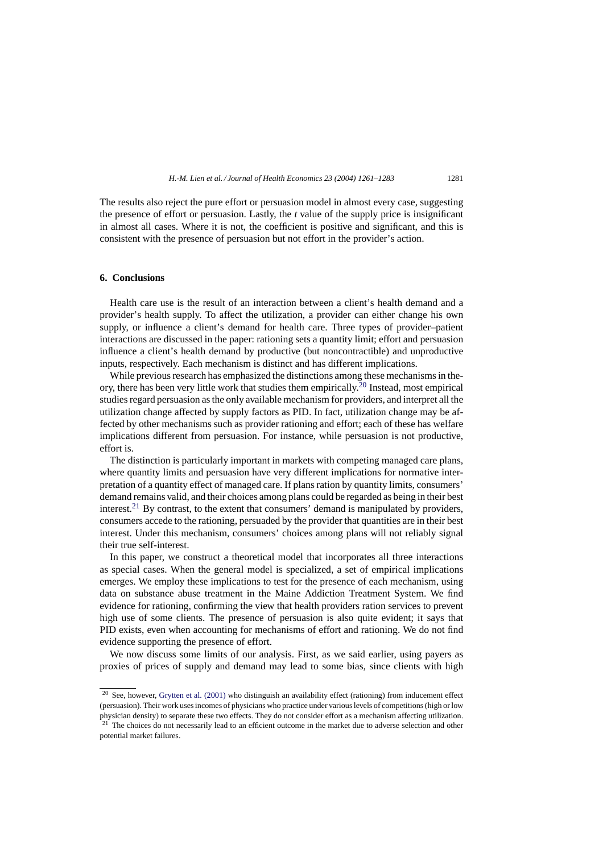<span id="page-20-0"></span>The results also reject the pure effort or persuasion model in almost every case, suggesting the presence of effort or persuasion. Lastly, the *t* value of the supply price is insignificant in almost all cases. Where it is not, the coefficient is positive and significant, and this is consistent with the presence of persuasion but not effort in the provider's action.

## **6. Conclusions**

Health care use is the result of an interaction between a client's health demand and a provider's health supply. To affect the utilization, a provider can either change his own supply, or influence a client's demand for health care. Three types of provider–patient interactions are discussed in the paper: rationing sets a quantity limit; effort and persuasion influence a client's health demand by productive (but noncontractible) and unproductive inputs, respectively. Each mechanism is distinct and has different implications.

While previous research has emphasized the distinctions among these mechanisms in theory, there has been very little work that studies them empirically.<sup>20</sup> Instead, most empirical studies regard persuasion as the only available mechanism for providers, and interpret all the utilization change affected by supply factors as PID. In fact, utilization change may be affected by other mechanisms such as provider rationing and effort; each of these has welfare implications different from persuasion. For instance, while persuasion is not productive, effort is.

The distinction is particularly important in markets with competing managed care plans, where quantity limits and persuasion have very different implications for normative interpretation of a quantity effect of managed care. If plans ration by quantity limits, consumers' demand remains valid, and their choices among plans could be regarded as being in their best interest.<sup>21</sup> By contrast, to the extent that consumers' demand is manipulated by providers, consumers accede to the rationing, persuaded by the provider that quantities are in their best interest. Under this mechanism, consumers' choices among plans will not reliably signal their true self-interest.

In this paper, we construct a theoretical model that incorporates all three interactions as special cases. When the general model is specialized, a set of empirical implications emerges. We employ these implications to test for the presence of each mechanism, using data on substance abuse treatment in the Maine Addiction Treatment System. We find evidence for rationing, confirming the view that health providers ration services to prevent high use of some clients. The presence of persuasion is also quite evident; it says that PID exists, even when accounting for mechanisms of effort and rationing. We do not find evidence supporting the presence of effort.

We now discuss some limits of our analysis. First, as we said earlier, using payers as proxies of prices of supply and demand may lead to some bias, since clients with high

<sup>&</sup>lt;sup>20</sup> See, however, [Grytten et al. \(2001\)](#page-22-0) who distinguish an availability effect (rationing) from inducement effect (persuasion). Their work uses incomes of physicians who practice under various levels of competitions (high or low physician density) to separate these two effects. They do not consider effort as a mechanism affecting utilization.

<sup>&</sup>lt;sup>21</sup> The choices do not necessarily lead to an efficient outcome in the market due to adverse selection and other potential market failures.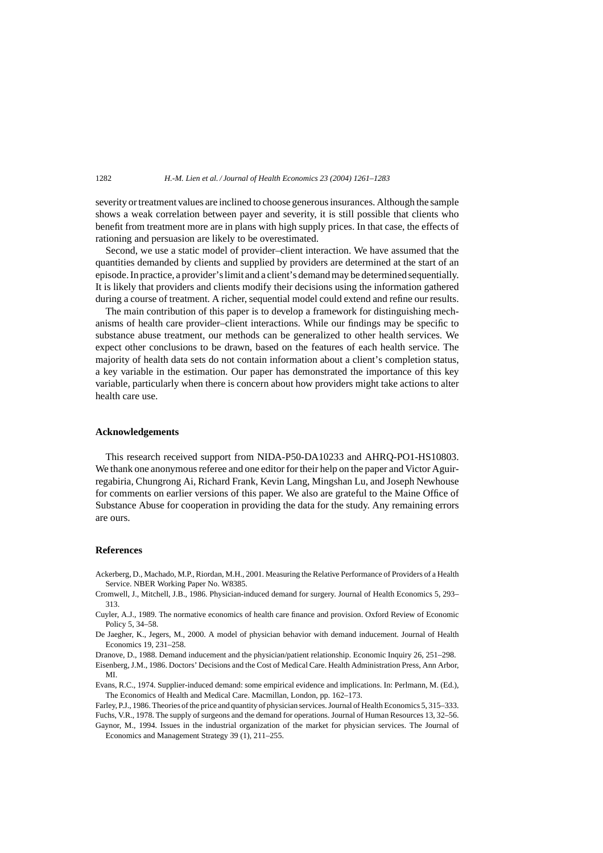<span id="page-21-0"></span>severity or treatment values are inclined to choose generous insurances. Although the sample shows a weak correlation between payer and severity, it is still possible that clients who benefit from treatment more are in plans with high supply prices. In that case, the effects of rationing and persuasion are likely to be overestimated.

Second, we use a static model of provider–client interaction. We have assumed that the quantities demanded by clients and supplied by providers are determined at the start of an episode. In practice, a provider's limit and a client's demand may be determined sequentially. It is likely that providers and clients modify their decisions using the information gathered during a course of treatment. A richer, sequential model could extend and refine our results.

The main contribution of this paper is to develop a framework for distinguishing mechanisms of health care provider–client interactions. While our findings may be specific to substance abuse treatment, our methods can be generalized to other health services. We expect other conclusions to be drawn, based on the features of each health service. The majority of health data sets do not contain information about a client's completion status, a key variable in the estimation. Our paper has demonstrated the importance of this key variable, particularly when there is concern about how providers might take actions to alter health care use.

## **Acknowledgements**

This research received support from NIDA-P50-DA10233 and AHRQ-PO1-HS10803. We thank one anonymous referee and one editor for their help on the paper and Victor Aguirregabiria, Chungrong Ai, Richard Frank, Kevin Lang, Mingshan Lu, and Joseph Newhouse for comments on earlier versions of this paper. We also are grateful to the Maine Office of Substance Abuse for cooperation in providing the data for the study. Any remaining errors are ours.

#### **References**

- Ackerberg, D., Machado, M.P., Riordan, M.H., 2001. Measuring the Relative Performance of Providers of a Health Service. NBER Working Paper No. W8385.
- Cromwell, J., Mitchell, J.B., 1986. Physician-induced demand for surgery. Journal of Health Economics 5, 293– 313.
- Cuyler, A.J., 1989. The normative economics of health care finance and provision. Oxford Review of Economic Policy 5, 34–58.
- De Jaegher, K., Jegers, M., 2000. A model of physician behavior with demand inducement. Journal of Health Economics 19, 231–258.
- Dranove, D., 1988. Demand inducement and the physician/patient relationship. Economic Inquiry 26, 251–298.
- Eisenberg, J.M., 1986. Doctors' Decisions and the Cost of Medical Care. Health Administration Press, Ann Arbor, MI.
- Evans, R.C., 1974. Supplier-induced demand: some empirical evidence and implications. In: Perlmann, M. (Ed.), The Economics of Health and Medical Care. Macmillan, London, pp. 162–173.
- Farley, P.J., 1986. Theories of the price and quantity of physician services. Journal of Health Economics 5, 315–333.

Fuchs, V.R., 1978. The supply of surgeons and the demand for operations. Journal of Human Resources 13, 32–56.

Gaynor, M., 1994. Issues in the industrial organization of the market for physician services. The Journal of Economics and Management Strategy 39 (1), 211–255.